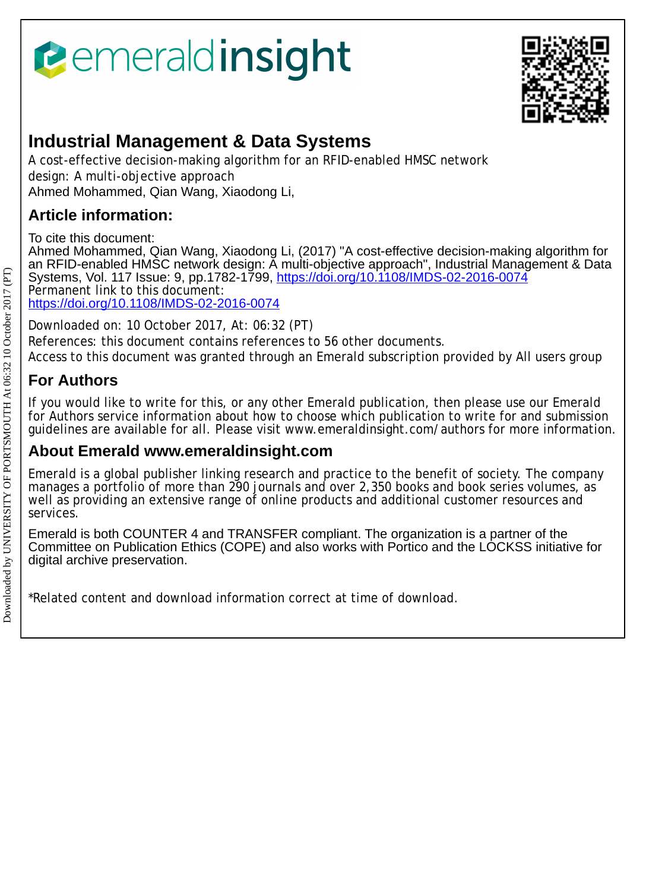# *<u><b>e*emeraldinsight</u>



## **Industrial Management & Data Systems**

A cost-effective decision-making algorithm for an RFID-enabled HMSC network design: A multi-objective approach Ahmed Mohammed, Qian Wang, Xiaodong Li,

## **Article information:**

To cite this document:

Ahmed Mohammed, Qian Wang, Xiaodong Li, (2017) "A cost-effective decision-making algorithm for an RFID-enabled HMSC network design: A multi-objective approach", Industrial Management & Data Systems, Vol. 117 Issue: 9, pp.1782-1799,<https://doi.org/10.1108/IMDS-02-2016-0074> Permanent link to this document: <https://doi.org/10.1108/IMDS-02-2016-0074>

Downloaded on: 10 October 2017, At: 06:32 (PT)

References: this document contains references to 56 other documents. Access to this document was granted through an Emerald subscription provided by All users group

## **For Authors**

If you would like to write for this, or any other Emerald publication, then please use our Emerald for Authors service information about how to choose which publication to write for and submission guidelines are available for all. Please visit www.emeraldinsight.com/authors for more information.

### **About Emerald www.emeraldinsight.com**

Emerald is a global publisher linking research and practice to the benefit of society. The company manages a portfolio of more than 290 journals and over 2,350 books and book series volumes, as well as providing an extensive range of online products and additional customer resources and services.

Emerald is both COUNTER 4 and TRANSFER compliant. The organization is a partner of the Committee on Publication Ethics (COPE) and also works with Portico and the LOCKSS initiative for digital archive preservation.

\*Related content and download information correct at time of download.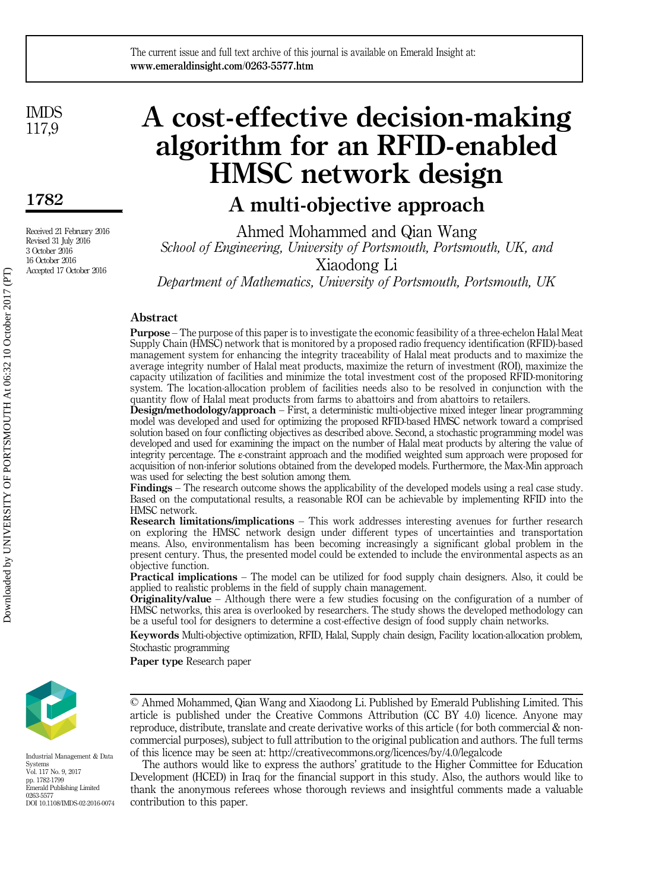IMDS 117,9

1782

Received 21 February 2016 Revised 31 July 2016 3 October 2016 16 October 2016 Accepted 17 October 2016

## A cost-effective decision-making algorithm for an RFID-enabled HMSC network design

## A multi-objective approach

Ahmed Mohammed and Qian Wang School of Engineering, University of Portsmouth, Portsmouth, UK, and

Xiaodong Li

Department of Mathematics, University of Portsmouth, Portsmouth, UK

#### Abstract

Purpose – The purpose of this paper is to investigate the economic feasibility of a three-echelon Halal Meat Supply Chain (HMSC) network that is monitored by a proposed radio frequency identification (RFID)-based management system for enhancing the integrity traceability of Halal meat products and to maximize the average integrity number of Halal meat products, maximize the return of investment (ROI), maximize the capacity utilization of facilities and minimize the total investment cost of the proposed RFID-monitoring system. The location-allocation problem of facilities needs also to be resolved in conjunction with the quantity flow of Halal meat products from farms to abattoirs and from abattoirs to retailers.

Design/methodology/approach – First, a deterministic multi-objective mixed integer linear programming model was developed and used for optimizing the proposed RFID-based HMSC network toward a comprised solution based on four conflicting objectives as described above. Second, a stochastic programming model was developed and used for examining the impact on the number of Halal meat products by altering the value of integrity percentage. The ε-constraint approach and the modified weighted sum approach were proposed for acquisition of non-inferior solutions obtained from the developed models. Furthermore, the Max-Min approach was used for selecting the best solution among them.

Findings – The research outcome shows the applicability of the developed models using a real case study. Based on the computational results, a reasonable ROI can be achievable by implementing RFID into the HMSC network.

Research limitations/implications – This work addresses interesting avenues for further research on exploring the HMSC network design under different types of uncertainties and transportation means. Also, environmentalism has been becoming increasingly a significant global problem in the present century. Thus, the presented model could be extended to include the environmental aspects as an objective function.

Practical implications – The model can be utilized for food supply chain designers. Also, it could be applied to realistic problems in the field of supply chain management.

Originality/value – Although there were a few studies focusing on the configuration of a number of HMSC networks, this area is overlooked by researchers. The study shows the developed methodology can be a useful tool for designers to determine a cost-effective design of food supply chain networks.

Keywords Multi-objective optimization, RFID, Halal, Supply chain design, Facility location-allocation problem, Stochastic programming

Paper type Research paper



Industrial Management & Data Systems Vol. 117 No. 9, 2017 pp. 1782-1799 Emerald Publishing Limited 0263-5577 DOI 10.1108/IMDS-02-2016-0074

The authors would like to express the authors' gratitude to the Higher Committee for Education Development (HCED) in Iraq for the financial support in this study. Also, the authors would like to thank the anonymous referees whose thorough reviews and insightful comments made a valuable contribution to this paper.

<sup>©</sup> Ahmed Mohammed, Qian Wang and Xiaodong Li. Published by Emerald Publishing Limited. This article is published under the Creative Commons Attribution (CC BY 4.0) licence. Anyone may reproduce, distribute, translate and create derivative works of this article ( for both commercial & noncommercial purposes), subject to full attribution to the original publication and authors. The full terms of this licence may be seen at:<http://creativecommons.org/licences/by/4.0/legalcode>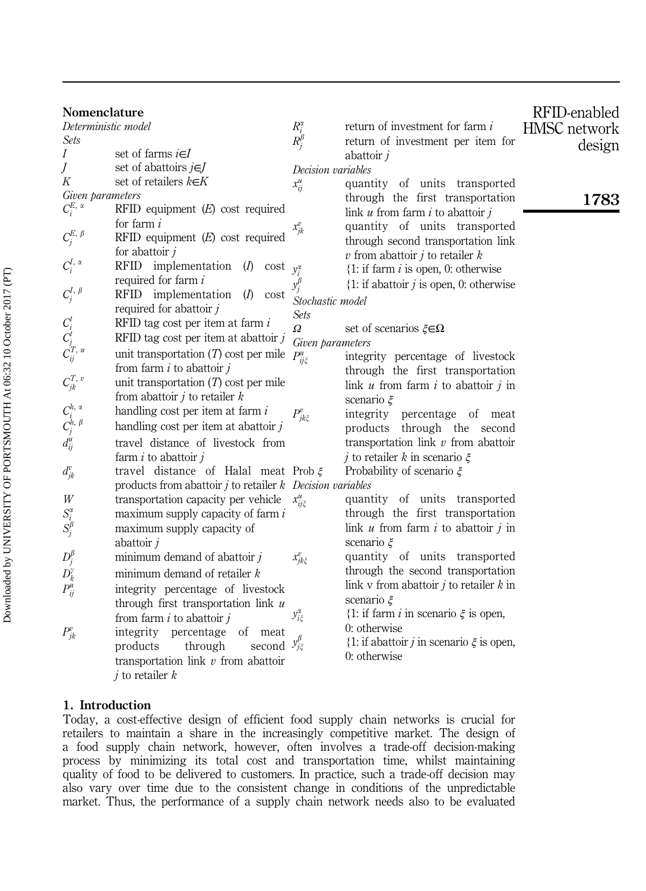| Nomenclature                                             |                                                               |                                 |                                                     | RFID-enabled |
|----------------------------------------------------------|---------------------------------------------------------------|---------------------------------|-----------------------------------------------------|--------------|
| Deterministic model                                      |                                                               | $R_i^{\alpha}$<br>$R_i^{\beta}$ | return of investment for farm $i$                   | HMSC network |
| <b>Sets</b>                                              |                                                               |                                 | return of investment per item for                   | design       |
| Ι                                                        | set of farms $i \in I$                                        |                                 | abattoir $i$                                        |              |
|                                                          | set of abattoirs $j \in J$                                    | Decision variables              |                                                     |              |
| К                                                        | set of retailers $k \in K$                                    | $x_{ii}^u$                      | quantity of units transported                       |              |
| Given parameters                                         |                                                               |                                 | through the first transportation                    | 1783         |
| $C_i^{E, \alpha}$                                        | RFID equipment $(E)$ cost required                            |                                 | link $u$ from farm $i$ to abattoir $j$              |              |
|                                                          | for farm $i$                                                  | $x_{jk}^v$                      | quantity of units transported                       |              |
| $C_j^{E, \beta}$                                         | RFID equipment $(E)$ cost required                            |                                 | through second transportation link                  |              |
|                                                          | for abattoir $j$                                              |                                 | $v$ from abattoir $j$ to retailer $k$               |              |
| $C_i^{I, \alpha}$                                        | RFID implementation<br>(D)<br>cost                            | $v^{\alpha}$                    | $\{1:$ if farm i is open, 0: otherwise              |              |
|                                                          | required for farm $i$                                         | $y_i^t$                         | $\{1:$ if abattoir <i>j</i> is open, 0: otherwise   |              |
| $C_j^{I, \beta}$                                         | RFID implementation<br>(I)<br>cost                            |                                 |                                                     |              |
|                                                          | required for abattoir $j$                                     | Stochastic model                |                                                     |              |
|                                                          | RFID tag cost per item at farm $i$                            | <b>Sets</b>                     |                                                     |              |
|                                                          | RFID tag cost per item at abattoir $j$                        | Ω                               | set of scenarios $\xi \in \Omega$                   |              |
| $\begin{array}{c} C_i^t\\ C_j^t\\ C_{ij}^T. \end{array}$ | unit transportation $(T)$ cost per mile                       | Given parameters                |                                                     |              |
|                                                          | from farm $i$ to abattoir $j$                                 | $P_{ij\xi}^u$                   | integrity percentage of livestock                   |              |
| $C_{jk}^{T, v}$                                          | unit transportation $(T)$ cost per mile                       |                                 | through the first transportation                    |              |
|                                                          |                                                               |                                 | link $u$ from farm $i$ to abattoir $j$ in           |              |
|                                                          | from abattoir $j$ to retailer $k$                             |                                 | scenario $\xi$                                      |              |
| $C_{i}^{h, \alpha}$<br>$C_{j}^{h, \beta}$                | handling cost per item at farm $i$                            | $P_{jk\xi}^v$                   | integrity percentage of meat                        |              |
|                                                          | handling cost per item at abattoir $j$                        |                                 | products through the second                         |              |
| $d_{ij}^u$                                               | travel distance of livestock from                             |                                 | transportation link $v$ from abattoir               |              |
|                                                          | farm $i$ to abattoir $j$                                      |                                 | j to retailer k in scenario $\xi$                   |              |
| $d_{jk}^v$                                               | travel distance of Halal meat Prob $\xi$                      |                                 | Probability of scenario $\xi$                       |              |
|                                                          | products from abattoir $j$ to retailer $k$ Decision variables |                                 |                                                     |              |
| W                                                        | transportation capacity per vehicle                           | $x_{ii\zeta}^u$                 | quantity of units transported                       |              |
| $S_i^{\alpha}$                                           | maximum supply capacity of farm $i$                           |                                 | through the first transportation                    |              |
| $S_j^{\beta}$                                            | maximum supply capacity of                                    |                                 | link $u$ from farm $i$ to abattoir $j$ in           |              |
|                                                          | abattoir $j$                                                  |                                 | scenario $\xi$                                      |              |
| $D_j^{\beta}$                                            | minimum demand of abattoir $j$                                | $x_{jk\xi}^v$                   | quantity of units transported                       |              |
| $D_k^{\boldsymbol{\gamma}}$                              | minimum demand of retailer $k$                                |                                 | through the second transportation                   |              |
| $P_{ij}^u$                                               | integrity percentage of livestock                             |                                 | link v from abattoir $j$ to retailer $k$ in         |              |
|                                                          | through first transportation link $u$                         |                                 | scenario $\xi$                                      |              |
|                                                          |                                                               | $y_{i\zeta}^{\alpha}$           | {1: if farm <i>i</i> in scenario $\xi$ is open,     |              |
|                                                          | from farm $i$ to abattoir $j$                                 |                                 | 0: otherwise                                        |              |
| $P_{jk}^v$                                               | percentage of<br>integrity<br>meat                            |                                 | {1: if abattoir <i>j</i> in scenario $\xi$ is open, |              |
|                                                          | second $y_{j\xi}^r$<br>products<br>through                    |                                 | 0: otherwise                                        |              |
|                                                          | transportation link $v$ from abattoir                         |                                 |                                                     |              |
|                                                          | <i>i</i> to retailer $k$                                      |                                 |                                                     |              |

#### 1. Introduction

Today, a cost-effective design of efficient food supply chain networks is crucial for retailers to maintain a share in the increasingly competitive market. The design of a food supply chain network, however, often involves a trade-off decision-making process by minimizing its total cost and transportation time, whilst maintaining quality of food to be delivered to customers. In practice, such a trade-off decision may also vary over time due to the consistent change in conditions of the unpredictable market. Thus, the performance of a supply chain network needs also to be evaluated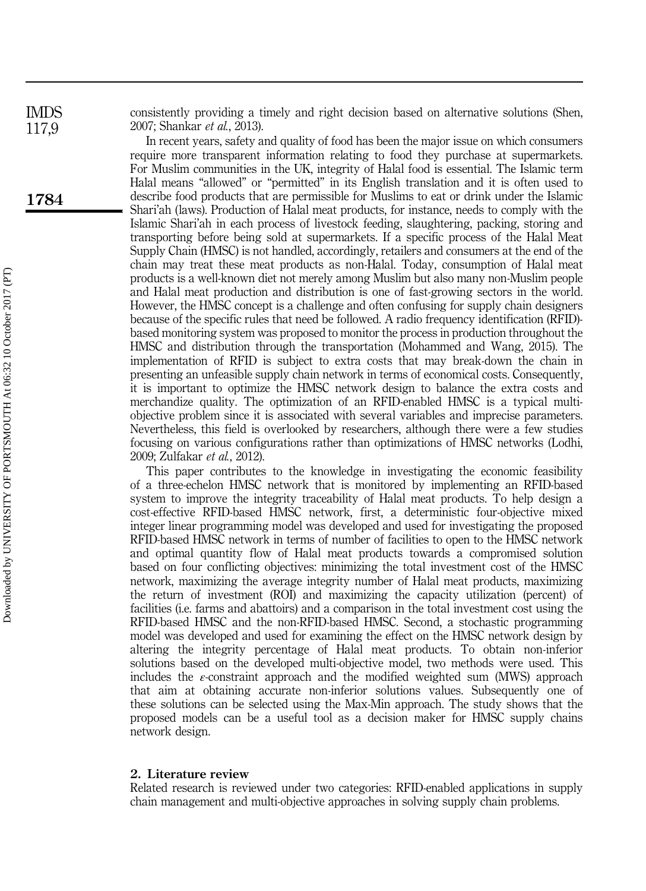consistently providing a timely and right decision based on alternative solutions (Shen, 2007; Shankar et al., 2013).

In recent years, safety and quality of food has been the major issue on which consumers require more transparent information relating to food they purchase at supermarkets. For Muslim communities in the UK, integrity of Halal food is essential. The Islamic term Halal means "allowed" or "permitted" in its English translation and it is often used to describe food products that are permissible for Muslims to eat or drink under the Islamic Shari'ah (laws). Production of Halal meat products, for instance, needs to comply with the Islamic Shari'ah in each process of livestock feeding, slaughtering, packing, storing and transporting before being sold at supermarkets. If a specific process of the Halal Meat Supply Chain (HMSC) is not handled, accordingly, retailers and consumers at the end of the chain may treat these meat products as non-Halal. Today, consumption of Halal meat products is a well-known diet not merely among Muslim but also many non-Muslim people and Halal meat production and distribution is one of fast-growing sectors in the world. However, the HMSC concept is a challenge and often confusing for supply chain designers because of the specific rules that need be followed. A radio frequency identification (RFID) based monitoring system was proposed to monitor the process in production throughout the HMSC and distribution through the transportation (Mohammed and Wang, 2015). The implementation of RFID is subject to extra costs that may break-down the chain in presenting an unfeasible supply chain network in terms of economical costs. Consequently, it is important to optimize the HMSC network design to balance the extra costs and merchandize quality. The optimization of an RFID-enabled HMSC is a typical multiobjective problem since it is associated with several variables and imprecise parameters. Nevertheless, this field is overlooked by researchers, although there were a few studies focusing on various configurations rather than optimizations of HMSC networks (Lodhi, 2009; Zulfakar et al., 2012).

This paper contributes to the knowledge in investigating the economic feasibility of a three-echelon HMSC network that is monitored by implementing an RFID-based system to improve the integrity traceability of Halal meat products. To help design a cost-effective RFID-based HMSC network, first, a deterministic four-objective mixed integer linear programming model was developed and used for investigating the proposed RFID-based HMSC network in terms of number of facilities to open to the HMSC network and optimal quantity flow of Halal meat products towards a compromised solution based on four conflicting objectives: minimizing the total investment cost of the HMSC network, maximizing the average integrity number of Halal meat products, maximizing the return of investment (ROI) and maximizing the capacity utilization (percent) of facilities (i.e. farms and abattoirs) and a comparison in the total investment cost using the RFID-based HMSC and the non-RFID-based HMSC. Second, a stochastic programming model was developed and used for examining the effect on the HMSC network design by altering the integrity percentage of Halal meat products. To obtain non-inferior solutions based on the developed multi-objective model, two methods were used. This includes the  $\varepsilon$ -constraint approach and the modified weighted sum (MWS) approach that aim at obtaining accurate non-inferior solutions values. Subsequently one of these solutions can be selected using the Max-Min approach. The study shows that the proposed models can be a useful tool as a decision maker for HMSC supply chains network design.

#### 2. Literature review

Related research is reviewed under two categories: RFID-enabled applications in supply chain management and multi-objective approaches in solving supply chain problems.

1784

IMDS 117,9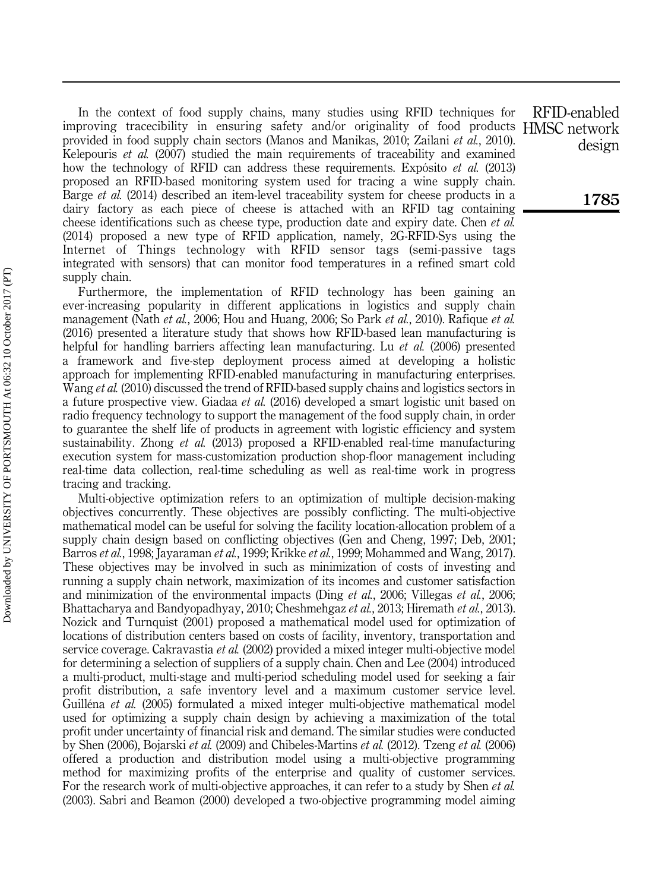In the context of food supply chains, many studies using RFID techniques for improving tracecibility in ensuring safety and/or originality of food products provided in food supply chain sectors (Manos and Manikas, 2010; Zailani et al., 2010). Kelepouris et al. (2007) studied the main requirements of traceability and examined how the technology of RFID can address these requirements. Expósito *et al.* (2013) proposed an RFID-based monitoring system used for tracing a wine supply chain. Barge *et al.* (2014) described an item-level traceability system for cheese products in a dairy factory as each piece of cheese is attached with an RFID tag containing cheese identifications such as cheese type, production date and expiry date. Chen *et al.* (2014) proposed a new type of RFID application, namely, 2G-RFID-Sys using the Internet of Things technology with RFID sensor tags (semi-passive tags integrated with sensors) that can monitor food temperatures in a refined smart cold supply chain.

Furthermore, the implementation of RFID technology has been gaining an ever-increasing popularity in different applications in logistics and supply chain management (Nath et al., 2006; Hou and Huang, 2006; So Park et al., 2010). Rafique et al. (2016) presented a literature study that shows how RFID-based lean manufacturing is helpful for handling barriers affecting lean manufacturing. Lu et al. (2006) presented a framework and five-step deployment process aimed at developing a holistic approach for implementing RFID-enabled manufacturing in manufacturing enterprises. Wang *et al.* (2010) discussed the trend of RFID-based supply chains and logistics sectors in a future prospective view. Giadaa et al. (2016) developed a smart logistic unit based on radio frequency technology to support the management of the food supply chain, in order to guarantee the shelf life of products in agreement with logistic efficiency and system sustainability. Zhong et al. (2013) proposed a RFID-enabled real-time manufacturing execution system for mass-customization production shop-floor management including real-time data collection, real-time scheduling as well as real-time work in progress tracing and tracking.

Multi-objective optimization refers to an optimization of multiple decision-making objectives concurrently. These objectives are possibly conflicting. The multi-objective mathematical model can be useful for solving the facility location-allocation problem of a supply chain design based on conflicting objectives (Gen and Cheng, 1997; Deb, 2001; Barros et al., 1998; Jayaraman et al., 1999; Krikke et al., 1999; Mohammed and Wang, 2017). These objectives may be involved in such as minimization of costs of investing and running a supply chain network, maximization of its incomes and customer satisfaction and minimization of the environmental impacts (Ding *et al.*, 2006; Villegas *et al.*, 2006; Bhattacharya and Bandyopadhyay, 2010; Cheshmehgaz et al., 2013; Hiremath et al., 2013). Nozick and Turnquist (2001) proposed a mathematical model used for optimization of locations of distribution centers based on costs of facility, inventory, transportation and service coverage. Cakravastia et al. (2002) provided a mixed integer multi-objective model for determining a selection of suppliers of a supply chain. Chen and Lee (2004) introduced a multi-product, multi-stage and multi-period scheduling model used for seeking a fair profit distribution, a safe inventory level and a maximum customer service level. Guilléna et al. (2005) formulated a mixed integer multi-objective mathematical model used for optimizing a supply chain design by achieving a maximization of the total profit under uncertainty of financial risk and demand. The similar studies were conducted by Shen (2006), Bojarski et al. (2009) and Chibeles-Martins et al. (2012). Tzeng et al. (2006) offered a production and distribution model using a multi-objective programming method for maximizing profits of the enterprise and quality of customer services. For the research work of multi-objective approaches, it can refer to a study by Shen *et al.* (2003). Sabri and Beamon (2000) developed a two-objective programming model aiming

RFID-enabled HMSC network design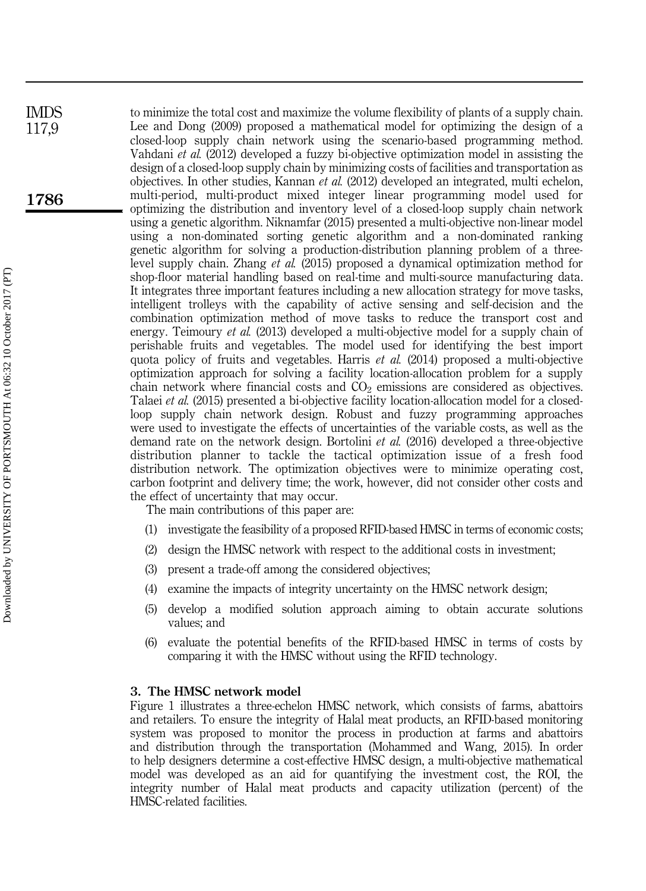to minimize the total cost and maximize the volume flexibility of plants of a supply chain. Lee and Dong (2009) proposed a mathematical model for optimizing the design of a closed-loop supply chain network using the scenario-based programming method. Vahdani et al. (2012) developed a fuzzy bi-objective optimization model in assisting the design of a closed-loop supply chain by minimizing costs of facilities and transportation as objectives. In other studies, Kannan et al. (2012) developed an integrated, multi echelon, multi-period, multi-product mixed integer linear programming model used for optimizing the distribution and inventory level of a closed-loop supply chain network using a genetic algorithm. Niknamfar (2015) presented a multi-objective non-linear model using a non-dominated sorting genetic algorithm and a non-dominated ranking genetic algorithm for solving a production-distribution planning problem of a threelevel supply chain. Zhang et al. (2015) proposed a dynamical optimization method for shop-floor material handling based on real-time and multi-source manufacturing data. It integrates three important features including a new allocation strategy for move tasks, intelligent trolleys with the capability of active sensing and self-decision and the combination optimization method of move tasks to reduce the transport cost and energy. Teimoury *et al.* (2013) developed a multi-objective model for a supply chain of perishable fruits and vegetables. The model used for identifying the best import quota policy of fruits and vegetables. Harris *et al.*  $(2014)$  proposed a multi-objective optimization approach for solving a facility location-allocation problem for a supply chain network where financial costs and  $CO<sub>2</sub>$  emissions are considered as objectives. Talaei et al. (2015) presented a bi-objective facility location-allocation model for a closedloop supply chain network design. Robust and fuzzy programming approaches were used to investigate the effects of uncertainties of the variable costs, as well as the demand rate on the network design. Bortolini et al. (2016) developed a three-objective distribution planner to tackle the tactical optimization issue of a fresh food distribution network. The optimization objectives were to minimize operating cost, carbon footprint and delivery time; the work, however, did not consider other costs and the effect of uncertainty that may occur.

The main contributions of this paper are:

- (1) investigate the feasibility of a proposed RFID-based HMSC in terms of economic costs;
- (2) design the HMSC network with respect to the additional costs in investment;
- (3) present a trade-off among the considered objectives;
- (4) examine the impacts of integrity uncertainty on the HMSC network design;
- (5) develop a modified solution approach aiming to obtain accurate solutions values; and
- (6) evaluate the potential benefits of the RFID-based HMSC in terms of costs by comparing it with the HMSC without using the RFID technology.

#### 3. The HMSC network model

Figure 1 illustrates a three-echelon HMSC network, which consists of farms, abattoirs and retailers. To ensure the integrity of Halal meat products, an RFID-based monitoring system was proposed to monitor the process in production at farms and abattoirs and distribution through the transportation (Mohammed and Wang, 2015). In order to help designers determine a cost-effective HMSC design, a multi-objective mathematical model was developed as an aid for quantifying the investment cost, the ROI, the integrity number of Halal meat products and capacity utilization (percent) of the HMSC-related facilities.

1786

IMDS 117,9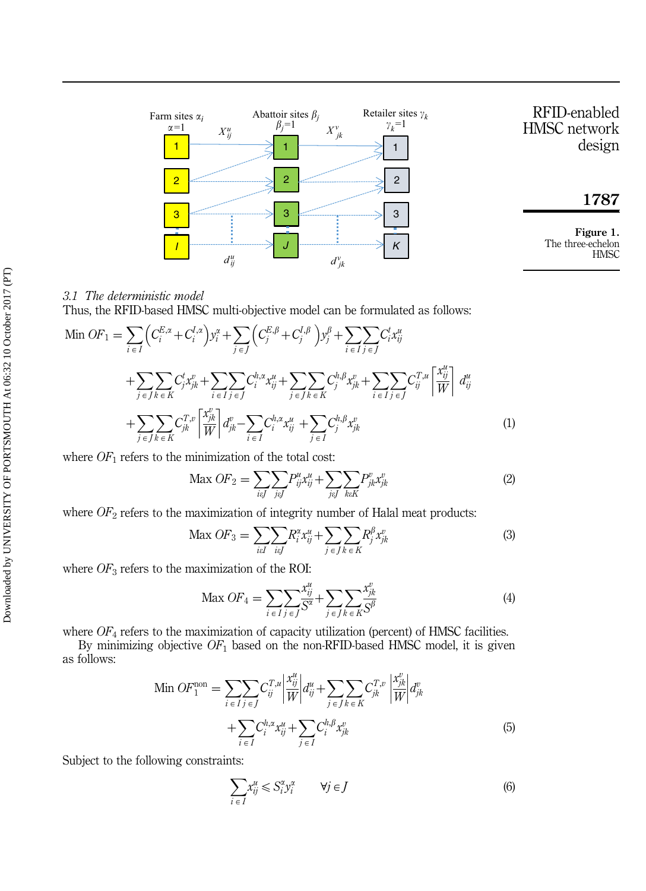

#### 3.1 The deterministic model

Thus, the RFID-based HMSC multi-objective model can be formulated as follows:

Min 
$$
OF_1 = \sum_{i \in I} \left( C_i^{E,x} + C_i^{I,x} \right) y_i^{\alpha} + \sum_{j \in J} \left( C_j^{E,\beta} + C_j^{I,\beta} \right) y_j^{\beta} + \sum_{i \in I} \sum_{j \in J} C_i^t x_{ij}^u
$$
  
 
$$
+ \sum_{j \in J} \sum_{k \in K} C_j^t x_{jk}^v + \sum_{i \in I} \sum_{j \in J} C_i^{h,\alpha} x_{ij}^u + \sum_{j \in J} \sum_{k \in K} C_j^{h,\beta} x_{jk}^v + \sum_{i \in I} \sum_{j \in J} C_{ij}^{T,u} \left[ \frac{x_{ij}^u}{W} \right] d_{ij}^u
$$
  
 
$$
+ \sum_{j \in J} \sum_{k \in K} C_{jk}^{T,v} \left[ \frac{x_{jk}^v}{W} \right] d_{jk}^v - \sum_{i \in I} C_i^{h,\alpha} x_{ij}^u + \sum_{j \in I} C_j^{h,\beta} x_{jk}^v
$$
 (1)

where  $OF_1$  refers to the minimization of the total cost:

$$
\text{Max } OF_2 = \sum_{i \in J} \sum_{j \in J} P_{ij}^{\mu} x_{ij}^{\mu} + \sum_{j \in J} \sum_{k \in K} P_{jk}^{\nu} x_{jk}^{\nu}
$$
 (2)

where  $OF<sub>2</sub>$  refers to the maximization of integrity number of Halal meat products:

$$
\text{Max } OF_3 = \sum_{i \in I} \sum_{i \in J} R_i^x x_{ij}^u + \sum_{j \in J} \sum_{k \in K} R_j^{\beta} x_{jk}^v \tag{3}
$$

where  $OF<sub>3</sub>$  refers to the maximization of the ROI:

$$
\text{Max } OF_4 = \sum_{i \in I} \sum_{j \in J} \frac{x_{ij}^u}{S^{\alpha}} + \sum_{j \in J} \sum_{k \in K} \frac{x_{jk}^v}{S^{\beta}} \tag{4}
$$

where  $OF_4$  refers to the maximization of capacity utilization (percent) of HMSC facilities.

By minimizing objective  $OF_1$  based on the non-RFID-based HMSC model, it is given as follows:

Min 
$$
OF_1^{\text{non}} = \sum_{i \in I} \sum_{j \in J} C_{ij}^{T,u} \left| \frac{x_{ij}^u}{W} \right| d_{ij}^u + \sum_{j \in J} \sum_{k \in K} C_{jk}^{T,v} \left| \frac{x_{jk}^v}{W} \right| d_{jk}^v
$$
  
 
$$
+ \sum_{i \in I} C_i^{h,x} x_{ij}^u + \sum_{j \in I} C_i^{h,\beta} x_{jk}^v
$$
 (5)

Subject to the following constraints:

$$
\sum_{i \in I} x_{ij}^u \leqslant S_i^x y_i^x \qquad \forall j \in J \tag{6}
$$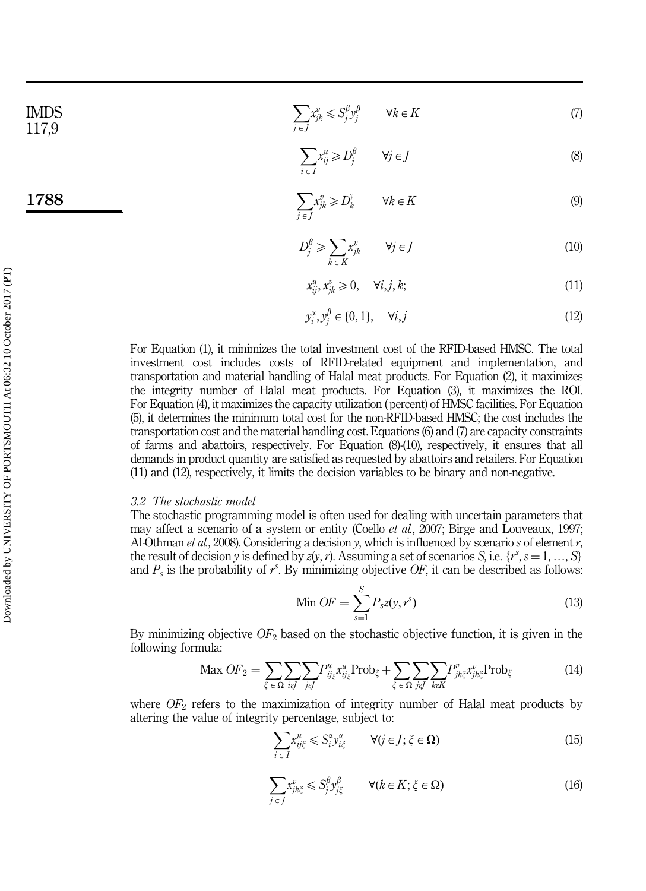$$
\sum_{j \in J} x_{jk}^v \le S_j^{\beta} y_j^{\beta} \qquad \forall k \in K \tag{7}
$$

$$
\sum_{i \in I} x_{ij}^u \ge D_j^\beta \qquad \forall j \in J \tag{8}
$$

$$
\sum_{j \in J} x_{jk}^v \ge D_k^v \qquad \forall k \in K \tag{9}
$$

$$
D_j^{\beta} \geqslant \sum_{k \in K} x_{jk}^v \qquad \forall j \in J \tag{10}
$$

$$
x_{ij}^u, x_{jk}^v \ge 0, \quad \forall i, j, k; \tag{11}
$$

$$
y_i^{\alpha}, y_j^{\beta} \in \{0, 1\}, \quad \forall i, j \tag{12}
$$

For Equation (1), it minimizes the total investment cost of the RFID-based HMSC. The total investment cost includes costs of RFID-related equipment and implementation, and transportation and material handling of Halal meat products. For Equation (2), it maximizes the integrity number of Halal meat products. For Equation (3), it maximizes the ROI. For Equation (4), it maximizes the capacity utilization ( percent) of HMSC facilities. For Equation (5), it determines the minimum total cost for the non-RFID-based HMSC; the cost includes the transportation cost and the material handling cost. Equations (6) and (7) are capacity constraints of farms and abattoirs, respectively. For Equation (8)-(10), respectively, it ensures that all demands in product quantity are satisfied as requested by abattoirs and retailers. For Equation (11) and (12), respectively, it limits the decision variables to be binary and non-negative.

#### 3.2 The stochastic model

The stochastic programming model is often used for dealing with uncertain parameters that may affect a scenario of a system or entity (Coello et al., 2007; Birge and Louveaux, 1997; Al-Othman et al., 2008). Considering a decision y, which is influenced by scenario s of element  $r$ , the result of decision y is defined by  $z(y, r)$ . Assuming a set of scenarios S, i.e.  $\{r^s, s = 1, ..., S\}$ <br>and P, is the probability of  $r^s$ . By minimizing objective OF it can be described as follows: and  $P_s$  is the probability of  $r^s$ . By minimizing objective OF, it can be described as follows:

$$
\text{Min } OF = \sum_{s=1}^{S} P_s z(y, r^s) \tag{13}
$$

By minimizing objective  $OF_2$  based on the stochastic objective function, it is given in the following formula:

$$
\text{Max } OF_2 = \sum_{\xi \in \Omega} \sum_{i\epsilon j} \sum_{j\epsilon j} P^u_{ij_{\xi}} x^u_{ij_{\xi}} \text{Prob}_{\xi} + \sum_{\xi \in \Omega} \sum_{j\epsilon j} \sum_{k\epsilon K} P^v_{jk\xi} x^v_{jk\xi} \text{Prob}_{\xi} \tag{14}
$$

where  $OF<sub>2</sub>$  refers to the maximization of integrity number of Halal meat products by altering the value of integrity percentage, subject to:

$$
\sum_{i \in I} x_{ij\xi}^u \leqslant S_i^{\alpha} y_{i\xi}^{\alpha} \qquad \forall (j \in J; \xi \in \Omega)
$$
\n(15)

$$
\sum_{j \in J} x_{jk\xi}^v \leqslant S_j^{\beta} y_{j\xi}^{\beta} \qquad \forall (k \in K; \xi \in \Omega)
$$
\n(16)

IMDS 117,9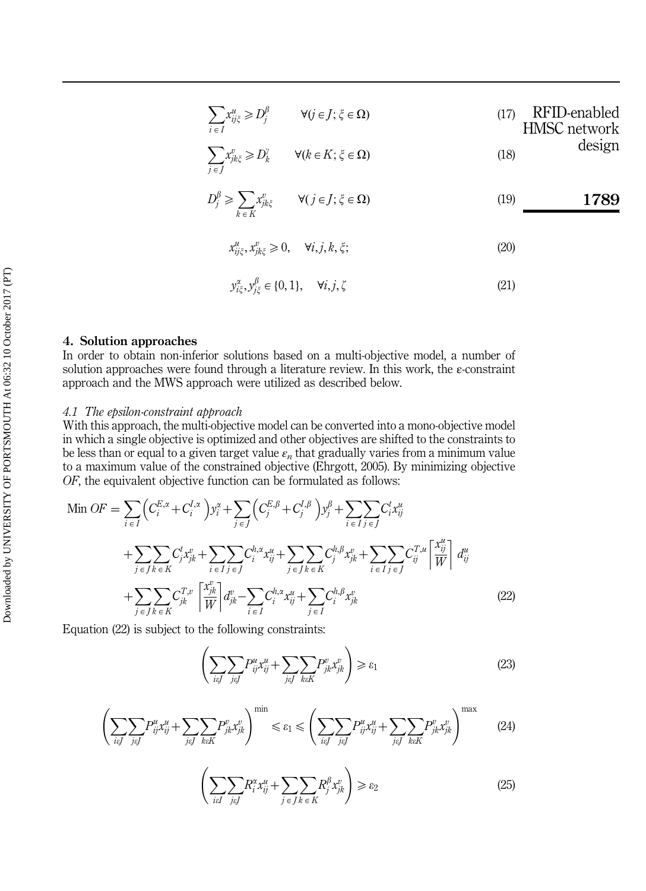$$
\sum_{i \in I} x_{ij\xi}^u \ge D_j^\beta \qquad \forall (j \in J; \xi \in \Omega)
$$
\n(17) RFID-enabeled  
\nHMSC network  
\n
$$
\sum_{k \in J} x_{ik\xi}^v \ge D_k^\gamma \qquad \forall (k \in K; \xi \in \Omega)
$$
\n(18)

$$
\sum_{j \in J} x_{jk\xi}^v \ge D_k^v \qquad \forall (k \in K; \xi \in \Omega)
$$
\n(18)

$$
D_j^{\beta} \ge \sum_{k \in K} x_{jk\xi}^v \qquad \forall (j \in J; \xi \in \Omega)
$$
 (19)

$$
x_{ij\xi}^u, x_{jk\xi}^v \ge 0, \quad \forall i, j, k, \xi; \tag{20}
$$

$$
y_{i\xi}^{\alpha}, y_{j\xi}^{\beta} \in \{0, 1\}, \quad \forall i, j, \zeta \tag{21}
$$

#### 4. Solution approaches

In order to obtain non-inferior solutions based on a multi-objective model, a number of solution approaches were found through a literature review. In this work, the ε-constraint approach and the MWS approach were utilized as described below.

#### 4.1 The epsilon-constraint approach

With this approach, the multi-objective model can be converted into a mono-objective model in which a single objective is optimized and other objectives are shifted to the constraints to be less than or equal to a given target value  $\varepsilon_n$  that gradually varies from a minimum value to a maximum value of the constrained objective (Ehrgott, 2005). By minimizing objective OF, the equivalent objective function can be formulated as follows:

Min 
$$
OF = \sum_{i \in I} \left( C_i^{E,x} + C_i^{I,x} \right) y_i^x + \sum_{j \in J} \left( C_j^{E,\beta} + C_j^{I,\beta} \right) y_j^{\beta} + \sum_{i \in I} \sum_{j \in J} C_i^t x_{ij}^u
$$
  
+ 
$$
\sum_{j \in J} \sum_{k \in K} C_j^t x_{jk}^v + \sum_{i \in I} \sum_{j \in J} C_i^{h,x} x_{ij}^u + \sum_{j \in J} \sum_{k \in K} C_j^{h,\beta} x_{jk}^v + \sum_{i \in I} \sum_{j \in J} C_{ij}^{T,u} \left[ \frac{x_{ij}^u}{W} \right] d_{ij}^u
$$
  
+ 
$$
\sum_{j \in J} \sum_{k \in K} C_{jk}^{T,v} \left[ \frac{x_{jk}^v}{W} \right] d_{jk}^v - \sum_{i \in I} C_i^{h,x} x_{ij}^u + \sum_{j \in I} C_i^{h,\beta} x_{jk}^v
$$
(22)

Equation (22) is subject to the following constraints:

$$
\left(\sum_{i\in J} \sum_{j\in J} P_{ij}^{\mu} x_{ij}^{\mu} + \sum_{j\in J} \sum_{k\in K} P_{jk}^{\nu} x_{jk}^{\nu}\right) \ge \varepsilon_1
$$
\n(23)

$$
\left(\sum_{i\in J} \sum_{j\in J} P_{ij}^u x_{ij}^u + \sum_{j\in J} \sum_{k\in K} P_{jk}^v x_{jk}^v \right)^{\min} \le \varepsilon_1 \le \left(\sum_{i\in J} \sum_{j\in J} P_{ij}^u x_{ij}^u + \sum_{j\in J} \sum_{k\in K} P_{jk}^v x_{jk}^v \right)^{\max} \tag{24}
$$

$$
\left(\sum_{i\in I} \sum_{j\in J} R_i^{\alpha} x_{ij}^{\mu} + \sum_{j\in J} \sum_{k\in K} R_j^{\beta} x_{jk}^{\nu}\right) \ge \varepsilon_2
$$
\n(25)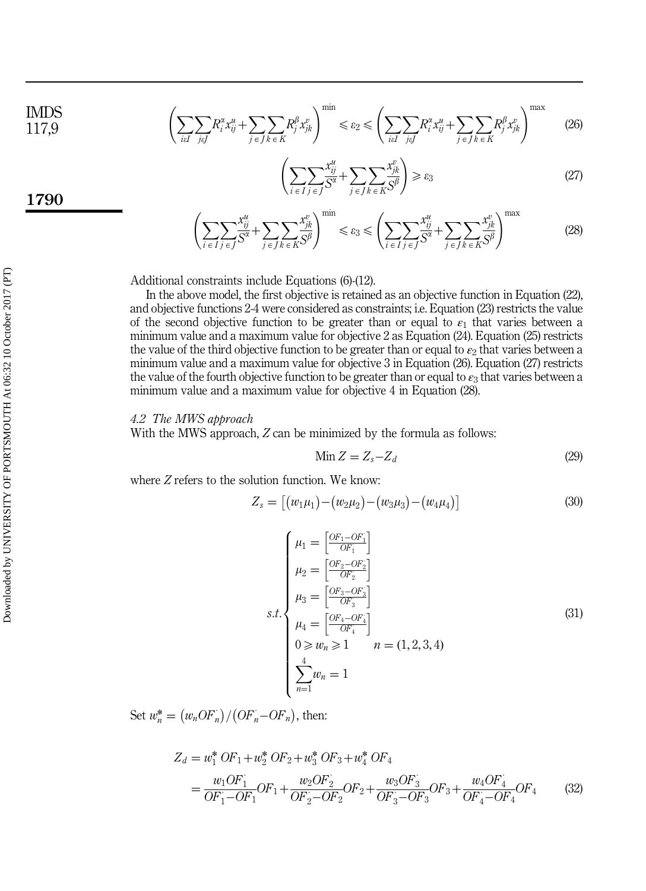IMDS  
117,9 
$$
\left(\sum_{i\in I}\sum_{j\in J}R_i^x x_{ij}^u + \sum_{j\in J} \sum_{k\in K}R_j^{\beta} x_{jk}^v\right)^{\min} \leq \varepsilon_2 \leq \left(\sum_{i\in I}\sum_{j\in J} R_i^x x_{ij}^u + \sum_{j\in J} \sum_{k\in K}R_j^{\beta} x_{jk}^v\right)^{\max} (26)
$$

$$
\left(\sum_{i \in I} \sum_{j \in J} \frac{x_{ij}^u}{S^{\alpha}} + \sum_{j \in J} \sum_{k \in K} \frac{x_{jk}^v}{S^{\beta}}\right) \ge \varepsilon_3
$$
\n(27)

$$
\left(\sum_{i\in I}\sum_{j\in J}\frac{x_{ij}^u}{S^{\alpha}}+\sum_{j\in J}\sum_{k\in K}\frac{x_{jk}^v}{S^{\beta}}\right)^{\min} \leq \varepsilon_3 \leq \left(\sum_{i\in I}\sum_{j\in J}\frac{x_{ij}^u}{S^{\alpha}}+\sum_{j\in J}\sum_{k\in K}\frac{x_{jk}^v}{S^{\beta}}\right)^{\max} \tag{28}
$$

Additional constraints include Equations (6)-(12).

In the above model, the first objective is retained as an objective function in Equation (22), and objective functions 2-4 were considered as constraints; i.e. Equation (23) restricts the value of the second objective function to be greater than or equal to  $\varepsilon_1$  that varies between a minimum value and a maximum value for objective 2 as Equation (24). Equation (25) restricts the value of the third objective function to be greater than or equal to  $\varepsilon_2$  that varies between a minimum value and a maximum value for objective 3 in Equation (26). Equation (27) restricts the value of the fourth objective function to be greater than or equal to  $\varepsilon_3$  that varies between a minimum value and a maximum value for objective 4 in Equation (28).

4.2 The MWS approach

With the MWS approach, Z can be minimized by the formula as follows:

$$
\text{Min } Z = Z_s - Z_d \tag{29}
$$

where Z refers to the solution function. We know:

$$
Z_s = [(w_1\mu_1) - (w_2\mu_2) - (w_3\mu_3) - (w_4\mu_4)] \tag{30}
$$

$$
\begin{cases}\n\mu_1 = \frac{[OF_1 - OF_1]}{OF_1} \\
\mu_2 = \frac{[OF_2 - OF_2]}{OF_2} \\
\mu_3 = \frac{[OF_3 - OF_3]}{OF_3} \\
\mu_4 = \frac{[OF_4 - OF_4]}{OF_4} \\
0 \ge w_n \ge 1 \qquad n = (1, 2, 3, 4) \\
\sum_{n=1}^{4} w_n = 1\n\end{cases}
$$
\n(31)

Set  $w_n^* = (w_n OF_n) / (OF_n - OF_n)$ , then:

$$
Z_d = w_1^* \tOF_1 + w_2^* \tOF_2 + w_3^* \tOF_3 + w_4^* \tOF_4
$$
  
= 
$$
\frac{w_1 OF_1}{OF_1 - OF_1} OF_1 + \frac{w_2 OF_2}{OF_2 - OF_2} OF_2 + \frac{w_3 OF_3}{OF_3 - OF_3} OF_3 + \frac{w_4 OF_4}{OF_4 - OF_4} OF_4
$$
 (32)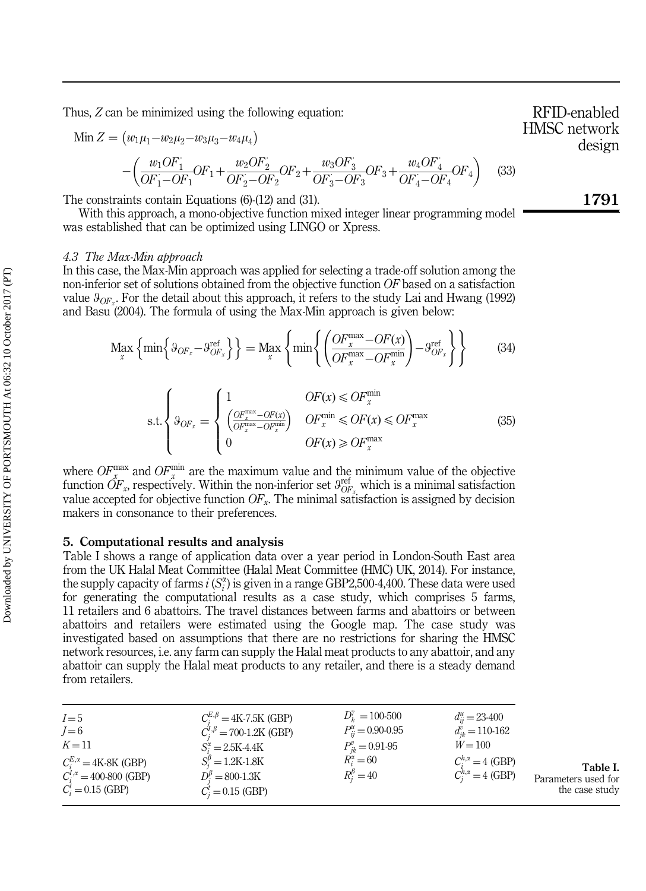Thus, Z can be minimized using the following equation:

Min 
$$
Z = (w_1 \mu_1 - w_2 \mu_2 - w_3 \mu_3 - w_4 \mu_4)
$$
  
\n
$$
- \left( \frac{w_1 OF_1}{OF_1 - OF_1} OF_1 + \frac{w_2 OF_2}{OF_2 - OF_2} OF_2 + \frac{w_3 OF_3}{OF_3 - OF_3} OF_3 + \frac{w_4 OF_4}{OF_4 - OF_4} OF_4 \right)
$$
\n(33)

The constraints contain Equations (6)-(12) and (31).

With this approach, a mono-objective function mixed integer linear programming model was established that can be optimized using LINGO or Xpress.

#### 4.3 The Max-Min approach

In this case, the Max-Min approach was applied for selecting a trade-off solution among the non-inferior set of solutions obtained from the objective function  $OF$  based on a satisfaction value  $\vartheta_{OF}$ . For the detail about this approach, it refers to the study Lai and Hwang (1992) and Basu (2004). The formula of using the Max-Min approach is given below:

$$
\text{Max}_{x} \left\{ \min \left\{ 9_{OF_x} - 9_{OF_x}^{ref} \right\} \right\} = \text{Max}_{x} \left\{ \min \left\{ \left( \frac{OF_x^{\max} - OF(x)}{OF_x^{\max} - OF_x^{\min}} \right) - 9_{OF_x}^{ref} \right\} \right\}
$$
(34)

$$
\text{s.t.} \begin{cases} 1 & \text{OF}(x) \leqslant \text{OF}_x^{\min} \\ \vartheta_{\text{OF}_x} = \begin{cases} \frac{\left(\text{OF}_x^{\max} - \text{OF}_x(x)\right)}{\left(\text{OF}_x^{\max} - \text{OF}_x^{\min}\right)} & \text{OF}_x^{\min} \leqslant \text{OF}(x) \leqslant \text{OF}_x^{\max} \\ 0 & \text{OF}(x) \geqslant \text{OF}_x^{\max} \end{cases} \end{cases} \tag{35}
$$

where  $OF_x^{\text{max}}$  and  $OF_x^{\text{min}}$  are the maximum value and the minimum value of the objective function  $\hat{OF}_x$ , respectively. Within the non-inferior set  $\mathcal{F}_{OF}^{ref}$  which is a minimal satisfaction value accepted for objective function  $OF_x$ . The minimal satisfaction is assigned by decision value accepted for objective function  $OF_x$ . The minimal satisfaction is assigned by decision makers in consonance to their preferences.

#### 5. Computational results and analysis

Table I shows a range of application data over a year period in London-South East area from the UK Halal Meat Committee (Halal Meat Committee (HMC) UK, 2014). For instance, the supply capacity of farms  $i$  ( $S_i^{\alpha}$ ) is given in a range GBP2,500-4,400. These data were used for generating the computational results as a case study, which comprises 5 farms, 11 retailers and 6 abattoirs. The travel distances between farms and abattoirs or between abattoirs and retailers were estimated using the Google map. The case study was investigated based on assumptions that there are no restrictions for sharing the HMSC network resources, i.e. any farm can supply the Halal meat products to any abattoir, and any abattoir can supply the Halal meat products to any retailer, and there is a steady demand from retailers.

| $I = 5$<br>$J=6$<br>$K = 11$<br>$C_i^{E,\alpha} = 4K-8K$ (GBP)<br>$C_i^{I,\alpha} = 400-800$ (GBP)<br>$C_i^t = 0.15$ (GBP) | $C_i^{E,\beta} = 4K-7.5K$ (GBP)<br>$C_i^{I,\beta} = 700-1.2K$ (GBP)<br>$S_i^{\alpha} = 2.5K - 4.4K$<br>$S_i^p = 1.2K - 1.8K$<br>$D_i^{\beta} = 800-1.3K$<br>$C_i^t = 0.15$ (GBP) | $D_{k}^{\gamma} = 100-500$<br>$P_{ii}^u = 0.90 - 0.95$<br>$P_{ik}^v = 0.91-95$<br>$R_i^{\alpha} = 60$<br>$R_i^{\beta} = 40$ | $d_{ii}^u = 23-400$<br>$d_{ik}^v = 110-162$<br>$W = 100$<br>$C_i^{h,\alpha} = 4$ (GBP)<br>$C_i^{h,\alpha} = 4$ (GBP) | Table I.<br>Parameters used for<br>the case study |
|----------------------------------------------------------------------------------------------------------------------------|----------------------------------------------------------------------------------------------------------------------------------------------------------------------------------|-----------------------------------------------------------------------------------------------------------------------------|----------------------------------------------------------------------------------------------------------------------|---------------------------------------------------|
|----------------------------------------------------------------------------------------------------------------------------|----------------------------------------------------------------------------------------------------------------------------------------------------------------------------------|-----------------------------------------------------------------------------------------------------------------------------|----------------------------------------------------------------------------------------------------------------------|---------------------------------------------------|

design

RFID-enabled HMSC network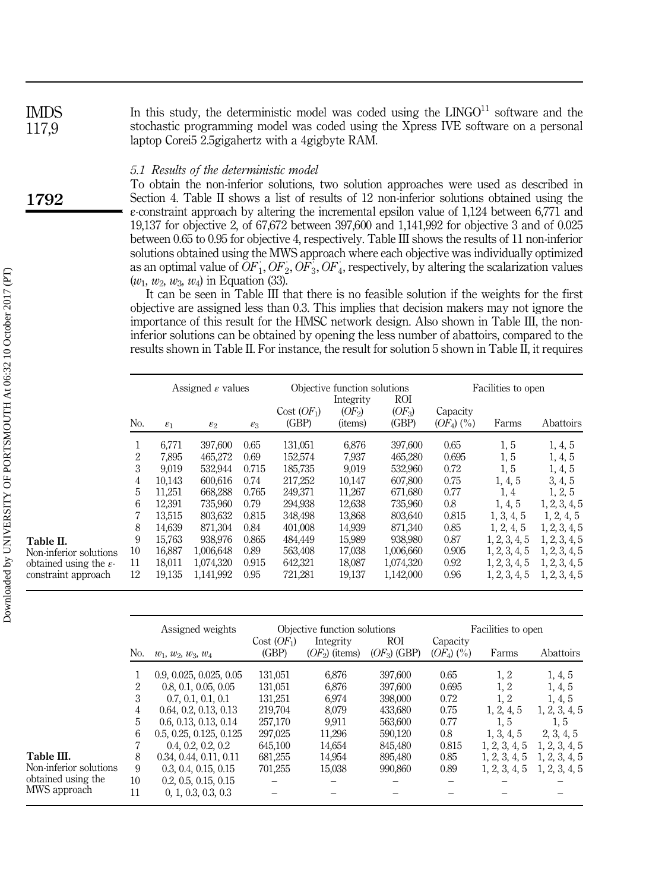In this study, the deterministic model was coded using the  $LINGO<sup>11</sup>$  software and the stochastic programming model was coded using the Xpress IVE software on a personal laptop Corei5 2.5gigahertz with a 4gigbyte RAM.

#### 5.1 Results of the deterministic model

To obtain the non-inferior solutions, two solution approaches were used as described in Section 4. Table II shows a list of results of 12 non-inferior solutions obtained using the ε-constraint approach by altering the incremental epsilon value of 1,124 between 6,771 and 19,137 for objective 2, of 67,672 between 397,600 and 1,141,992 for objective 3 and of 0.025 between 0.65 to 0.95 for objective 4, respectively. Table III shows the results of 11 non-inferior solutions obtained using the MWS approach where each objective was individually optimized as an optimal value of  $OF_1, OF_2, OF_3, OF_4$ , respectively, by altering the scalarization values  $(w_1, w_2, w_3, w_4)$  in Equation (33).

It can be seen in Table III that there is no feasible solution if the weights for the first objective are assigned less than 0.3. This implies that decision makers may not ignore the importance of this result for the HMSC network design. Also shown in Table III, the noninferior solutions can be obtained by opening the less number of abattoirs, compared to the results shown in Table II. For instance, the result for solution 5 shown in Table II, it requires

|                |                 | Assigned $\varepsilon$ values |                 |                       | Objective function solutions<br>Integrity | ROI               | Facilities to open          |               |               |  |  |
|----------------|-----------------|-------------------------------|-----------------|-----------------------|-------------------------------------------|-------------------|-----------------------------|---------------|---------------|--|--|
| N <sub>o</sub> | $\varepsilon_1$ | $\varepsilon$ <sub>2</sub>    | $\varepsilon_3$ | $Cost(OF_1)$<br>(GBP) | (OF <sub>2</sub> )<br>( <i>items</i> )    | $(OF_3)$<br>(GBP) | Capacity<br>$(OF_4)$ $(\%)$ | Farms         | Abattoirs     |  |  |
| 1              | 6.771           | 397.600                       | 0.65            | 131,051               | 6,876                                     | 397.600           | 0.65                        | 1, 5          | 1, 4, 5       |  |  |
| 2              | 7,895           | 465.272                       | 0.69            | 152.574               | 7.937                                     | 465.280           | 0.695                       | 1, 5          | 1, 4, 5       |  |  |
| 3              | 9.019           | 532.944                       | 0.715           | 185,735               | 9.019                                     | 532,960           | 0.72                        | 1, 5          | 1, 4, 5       |  |  |
| 4              | 10,143          | 600,616                       | 0.74            | 217,252               | 10,147                                    | 607,800           | 0.75                        | 1, 4, 5       | 3, 4, 5       |  |  |
| 5              | 11,251          | 668,288                       | 0.765           | 249.371               | 11,267                                    | 671,680           | 0.77                        | 1, 4          | 1, 2, 5       |  |  |
| 6              | 12,391          | 735,960                       | 0.79            | 294.938               | 12,638                                    | 735,960           | 0.8                         | 1, 4, 5       | 1, 2, 3, 4, 5 |  |  |
| 7              | 13.515          | 803.632                       | 0.815           | 348.498               | 13,868                                    | 803.640           | 0.815                       | 1, 3, 4, 5    | 1, 2, 4, 5    |  |  |
| 8              | 14.639          | 871.304                       | 0.84            | 401.008               | 14,939                                    | 871.340           | 0.85                        | 1, 2, 4, 5    | 1, 2, 3, 4, 5 |  |  |
| 9              | 15.763          | 938.976                       | 0.865           | 484.449               | 15.989                                    | 938.980           | 0.87                        | 1, 2, 3, 4, 5 | 1, 2, 3, 4, 5 |  |  |
| 10             | 16.887          | 1.006.648                     | 0.89            | 563,408               | 17,038                                    | 1.006.660         | 0.905                       | 1, 2, 3, 4, 5 | 1, 2, 3, 4, 5 |  |  |
| 11             | 18.011          | 1.074.320                     | 0.915           | 642.321               | 18.087                                    | 1.074.320         | 0.92                        | 1, 2, 3, 4, 5 | 1, 2, 3, 4, 5 |  |  |
| 12             | 19,135          | 1,141,992                     | 0.95            | 721,281               | 19,137                                    | 1,142,000         | 0.96                        | 1, 2, 3, 4, 5 | 1, 2, 3, 4, 5 |  |  |

Table II. Non-inferior solutions obtained using the  $\varepsilon$ -

constraint approach

|                        |     | Assigned weights        | $Cost(OF_1)$ | Objective function solutions<br>Integrity | <b>ROI</b>     | Facilities to open<br>Capacity |               |               |  |
|------------------------|-----|-------------------------|--------------|-------------------------------------------|----------------|--------------------------------|---------------|---------------|--|
|                        | No. | $w_1, w_2, w_3, w_4$    | (GBP)        | $(OF2)$ (items)                           | $(OF_3)$ (GBP) | $(OF_4)$ $(\%)$                | Farms         | Abattoirs     |  |
|                        |     | 0.9, 0.025, 0.025, 0.05 | 131,051      | 6,876                                     | 397,600        | 0.65                           | 1, 2          | 1, 4, 5       |  |
|                        | 2   | 0.8, 0.1, 0.05, 0.05    | 131,051      | 6,876                                     | 397,600        | 0.695                          | 1, 2          | 1, 4, 5       |  |
|                        | 3   | 0.7, 0.1, 0.1, 0.1      | 131,251      | 6,974                                     | 398,000        | 0.72                           | 1, 2          | 1, 4, 5       |  |
|                        | 4   | 0.64, 0.2, 0.13, 0.13   | 219,704      | 8,079                                     | 433,680        | 0.75                           | 1, 2, 4, 5    | 1, 2, 3, 4, 5 |  |
|                        | 5   | 0.6, 0.13, 0.13, 0.14   | 257,170      | 9,911                                     | 563,600        | 0.77                           | 1, 5          | 1, 5          |  |
|                        | 6   | 0.5, 0.25, 0.125, 0.125 | 297,025      | 11,296                                    | 590,120        | 0.8                            | 1, 3, 4, 5    | 2, 3, 4, 5    |  |
|                        |     | 0.4, 0.2, 0.2, 0.2      | 645,100      | 14,654                                    | 845,480        | 0.815                          | 1, 2, 3, 4, 5 | 1, 2, 3, 4, 5 |  |
| Table III.             | 8   | 0.34, 0.44, 0.11, 0.11  | 681,255      | 14,954                                    | 895,480        | 0.85                           | 1, 2, 3, 4, 5 | 1, 2, 3, 4, 5 |  |
| Non-inferior solutions | 9   | 0.3, 0.4, 0.15, 0.15    | 701,255      | 15,038                                    | 990.860        | 0.89                           | 1, 2, 3, 4, 5 | 1, 2, 3, 4, 5 |  |
| obtained using the     | 10  | 0.2, 0.5, 0.15, 0.15    |              |                                           |                |                                |               |               |  |
| MWS approach           | 11  | 0, 1, 0.3, 0.3, 0.3     |              |                                           |                |                                |               |               |  |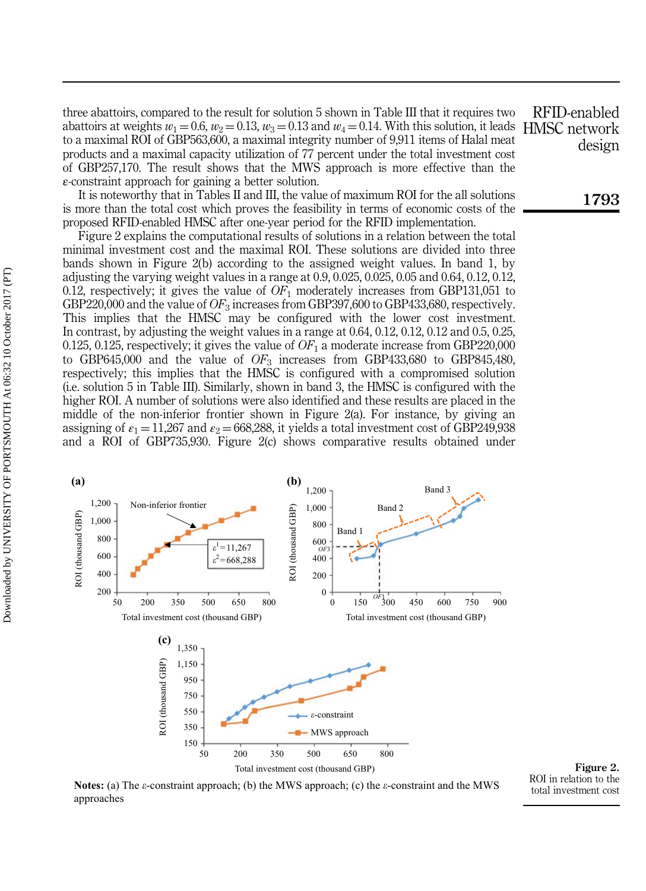three abattoirs, compared to the result for solution 5 shown in Table III that it requires two abattoirs at weights  $w_1 = 0.6$ ,  $w_2 = 0.13$ ,  $w_3 = 0.13$  and  $w_4 = 0.14$ . With this solution, it leads to a maximal ROI of GBP563,600, a maximal integrity number of 9,911 items of Halal meat products and a maximal capacity utilization of 77 percent under the total investment cost of GBP257,170. The result shows that the MWS approach is more effective than the ε-constraint approach for gaining a better solution.

It is noteworthy that in Tables II and III, the value of maximum ROI for the all solutions is more than the total cost which proves the feasibility in terms of economic costs of the proposed RFID-enabled HMSC after one-year period for the RFID implementation.

Figure 2 explains the computational results of solutions in a relation between the total minimal investment cost and the maximal ROI. These solutions are divided into three bands shown in Figure 2(b) according to the assigned weight values. In band 1, by adjusting the varying weight values in a range at 0.9, 0.025, 0.025, 0.05 and 0.64, 0.12, 0.12, 0.12, respectively; it gives the value of  $OF_1$  moderately increases from GBP131,051 to GBP220,000 and the value of  $OF_3$  increases from GBP397,600 to GBP433,680, respectively. This implies that the HMSC may be configured with the lower cost investment. In contrast, by adjusting the weight values in a range at 0.64, 0.12, 0.12, 0.12 and 0.5, 0.25, 0.125, 0.125, respectively; it gives the value of  $OF<sub>1</sub>$  a moderate increase from GBP220,000 to GBP645,000 and the value of  $OF<sub>3</sub>$  increases from GBP433,680 to GBP845,480, respectively; this implies that the HMSC is configured with a compromised solution (i.e. solution 5 in Table III). Similarly, shown in band 3, the HMSC is configured with the higher ROI. A number of solutions were also identified and these results are placed in the middle of the non-inferior frontier shown in Figure 2(a). For instance, by giving an assigning of  $\varepsilon_1 = 11,267$  and  $\varepsilon_2 = 668,288$ , it yields a total investment cost of GBP249,938 and a ROI of GBP735,930. Figure 2(c) shows comparative results obtained under



**Notes:** (a) The  $\varepsilon$ -constraint approach; (b) the MWS approach; (c) the  $\varepsilon$ -constraint and the MWS

ROI in relation to the total investment cost

Downloaded by UNIVERSITY OF PORTSMOUTH At 06:32 10 October 2017 (PT) Downloaded by UNIVERSITY OF PORTSMOUTH At 06:32 10 October 2017 (PT)

approaches

RFID-enabled HMSC network design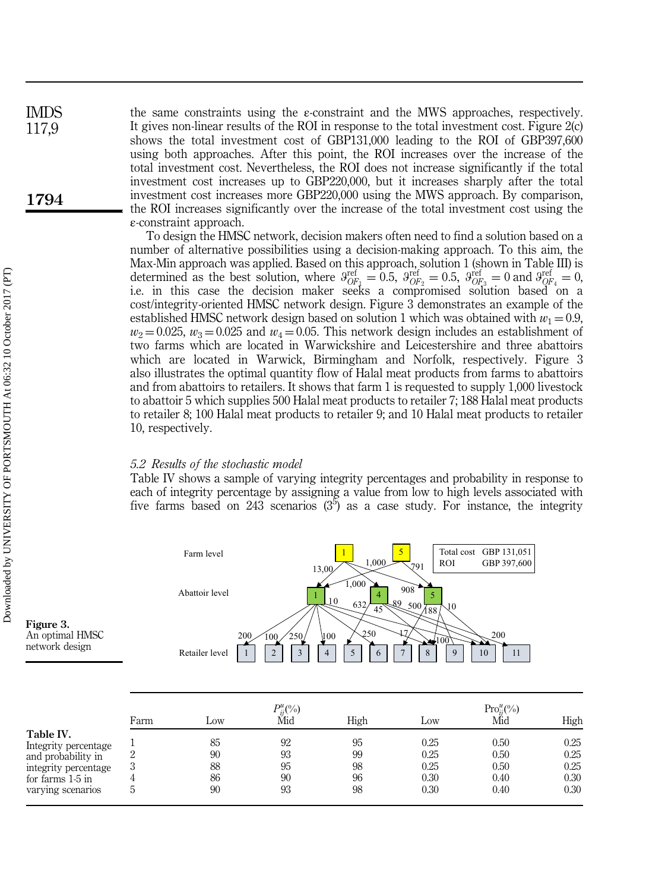the same constraints using the ε-constraint and the MWS approaches, respectively. It gives non-linear results of the ROI in response to the total investment cost. Figure 2(c) shows the total investment cost of GBP131,000 leading to the ROI of GBP397,600 using both approaches. After this point, the ROI increases over the increase of the total investment cost. Nevertheless, the ROI does not increase significantly if the total investment cost increases up to GBP220,000, but it increases sharply after the total investment cost increases more GBP220,000 using the MWS approach. By comparison, the ROI increases significantly over the increase of the total investment cost using the ε-constraint approach.

To design the HMSC network, decision makers often need to find a solution based on a number of alternative possibilities using a decision-making approach. To this aim, the Max-Min approach was applied. Based on this approach, solution 1 (shown in Table III) is determined as the best solution, where  $\theta_{OF_1}^{\text{ref}} = 0.5$ ,  $\theta_{OF_2}^{\text{ref}} = 0.5$ ,  $\theta_{OF_3}^{\text{ref}} = 0$  and  $\theta_{OF_4}^{\text{ref}} = 0$ , i.e. in this case the decision maker seeks a compromised solution based on a i.e. in this case the decision maker seeks a compromised solution based on a cost/integrity-oriented HMSC network design. Figure 3 demonstrates an example of the established HMSC network design based on solution 1 which was obtained with  $w_1 = 0.9$ ,  $w_2 = 0.025$ ,  $w_3 = 0.025$  and  $w_4 = 0.05$ . This network design includes an establishment of two farms which are located in Warwickshire and Leicestershire and three abattoirs which are located in Warwick, Birmingham and Norfolk, respectively. Figure 3 also illustrates the optimal quantity flow of Halal meat products from farms to abattoirs and from abattoirs to retailers. It shows that farm 1 is requested to supply 1,000 livestock to abattoir 5 which supplies 500 Halal meat products to retailer 7; 188 Halal meat products to retailer 8; 100 Halal meat products to retailer 9; and 10 Halal meat products to retailer 10, respectively.

#### 5.2 Results of the stochastic model

Table IV shows a sample of varying integrity percentages and probability in response to each of integrity percentage by assigning a value from low to high levels associated with five farms based on 243 scenarios  $(3^5)$  as a case study. For instance, the integrity



|   |      |     |                         |      |      | High                      |
|---|------|-----|-------------------------|------|------|---------------------------|
|   |      |     |                         |      |      |                           |
|   | 85   | 92  | 95                      | 0.25 | 0.50 | 0.25                      |
| 2 | 90   | 93  | 99                      | 0.25 | 0.50 | 0.25                      |
| 3 | 88   | 95  | 98                      | 0.25 | 0.50 | 0.25                      |
|   | 86   | 90  | 96                      | 0.30 | 0.40 | 0.30                      |
| 5 | 90   | 93  | 98                      | 0.30 | 0.40 | 0.30                      |
|   | Farm | LOW | $P_{ij}^{u}$ (%)<br>Mid | High | Low  | $Pro_{ii}^{u}$ (%)<br>Mid |

Figure 3.

network design

IMDS 117,9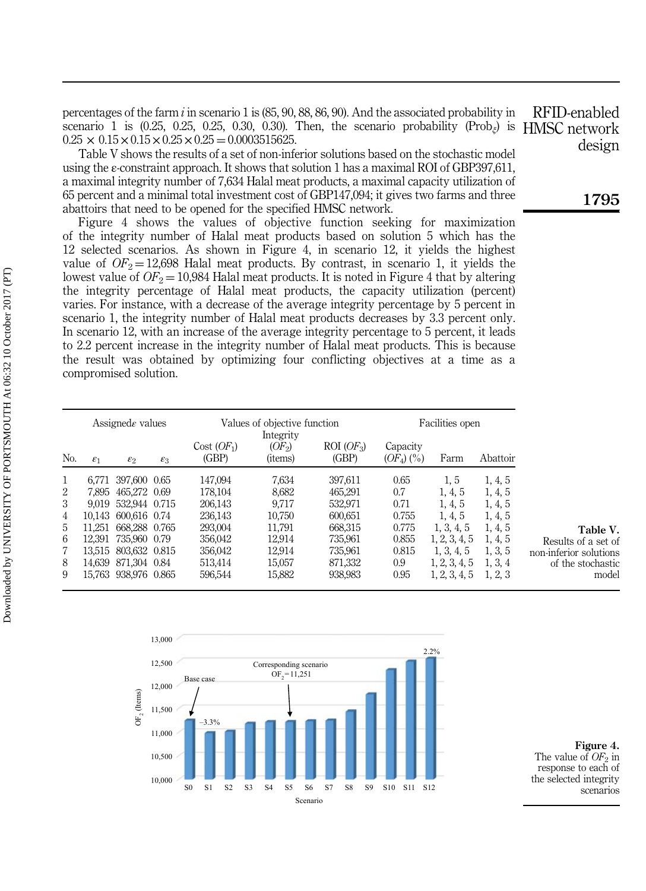percentages of the farm  $i$  in scenario 1 is (85, 90, 88, 86, 90). And the associated probability in scenario 1 is  $(0.25, 0.25, 0.25, 0.30, 0.30)$ . Then, the scenario probability (Prob<sub> $\epsilon$ </sub>) is  $0.25 \times 0.15 \times 0.15 \times 0.25 \times 0.25 = 0.0003515625.$ RFID-enabled HMSC network

Table V shows the results of a set of non-inferior solutions based on the stochastic model using the ε-constraint approach. It shows that solution 1 has a maximal ROI of GBP397,611, a maximal integrity number of 7,634 Halal meat products, a maximal capacity utilization of 65 percent and a minimal total investment cost of GBP147,094; it gives two farms and three abattoirs that need to be opened for the specified HMSC network.

Figure 4 shows the values of objective function seeking for maximization of the integrity number of Halal meat products based on solution 5 which has the 12 selected scenarios. As shown in Figure 4, in scenario 12, it yields the highest value of  $OF_2 = 12,698$  Halal meat products. By contrast, in scenario 1, it yields the lowest value of  $OF_2 = 10,984$  Halal meat products. It is noted in Figure 4 that by altering the integrity percentage of Halal meat products, the capacity utilization (percent) varies. For instance, with a decrease of the average integrity percentage by 5 percent in scenario 1, the integrity number of Halal meat products decreases by 3.3 percent only. In scenario 12, with an increase of the average integrity percentage to 5 percent, it leads to 2.2 percent increase in the integrity number of Halal meat products. This is because the result was obtained by optimizing four conflicting objectives at a time as a compromised solution.

| $\varepsilon_1$ | $\varepsilon$ | $\varepsilon_3$                                       | $Cost(OF_1)$<br>(GBP)                                                                                                                                                                     | (OF <sub>2</sub> )<br>(items) | ROI (OF <sub>3</sub> )<br>(GBP) | Capacity<br>$(OF_4)$ $(\%)$                        | Farm                           | Abattoir              |                                               |
|-----------------|---------------|-------------------------------------------------------|-------------------------------------------------------------------------------------------------------------------------------------------------------------------------------------------|-------------------------------|---------------------------------|----------------------------------------------------|--------------------------------|-----------------------|-----------------------------------------------|
|                 |               |                                                       | 147,094                                                                                                                                                                                   | 7,634                         | 397,611                         | 0.65                                               | 1, 5                           | 1, 4, 5               |                                               |
|                 |               |                                                       | 206,143                                                                                                                                                                                   | 9.717                         | 532,971                         | 0.71                                               | 1, 4, 5                        | 1, 4, 5               |                                               |
|                 |               |                                                       | 236,143<br>293,004                                                                                                                                                                        | 10.750<br>11.791              | 600.651<br>668.315              | 0.755<br>0.775                                     | 1, 4, 5<br>1, 3, 4, 5          | 1, 4, 5<br>1, 4, 5    | Table V.                                      |
|                 |               |                                                       | 356,042                                                                                                                                                                                   | 12.914                        | 735.961                         | 0.855                                              | 1, 2, 3, 4, 5                  | 1, 4, 5               | Results of a set of<br>non-inferior solutions |
|                 |               |                                                       | 513,414<br>596,544                                                                                                                                                                        | 15,057<br>15,882              | 871,332<br>938,983              | 0.9<br>0.95                                        | 1, 2, 3, 4, 5<br>1, 2, 3, 4, 5 | 1, 3, 4<br>1, 2, 3    | of the stochastic<br>model                    |
|                 |               | 6.771<br>7.895<br>9.019<br>11.251<br>12.391<br>14.639 | Assignede values<br>397,600 0.65<br>465.272 0.69<br>532,944 0.715<br>10.143 600.616 0.74<br>668.288 0.765<br>735.960 0.79<br>13,515 803,632 0.815<br>871.304 0.84<br>15.763 938.976 0.865 | 178.104<br>356,042            | Integrity<br>8,682<br>12.914    | Values of objective function<br>465.291<br>735.961 | 0.7<br>0.815                   | 1, 4, 5<br>1, 3, 4, 5 | Facilities open<br>1, 4, 5<br>1, 3, 5         |



The value of  $OF<sub>2</sub>$  in response to each of the selected integrity scenarios

design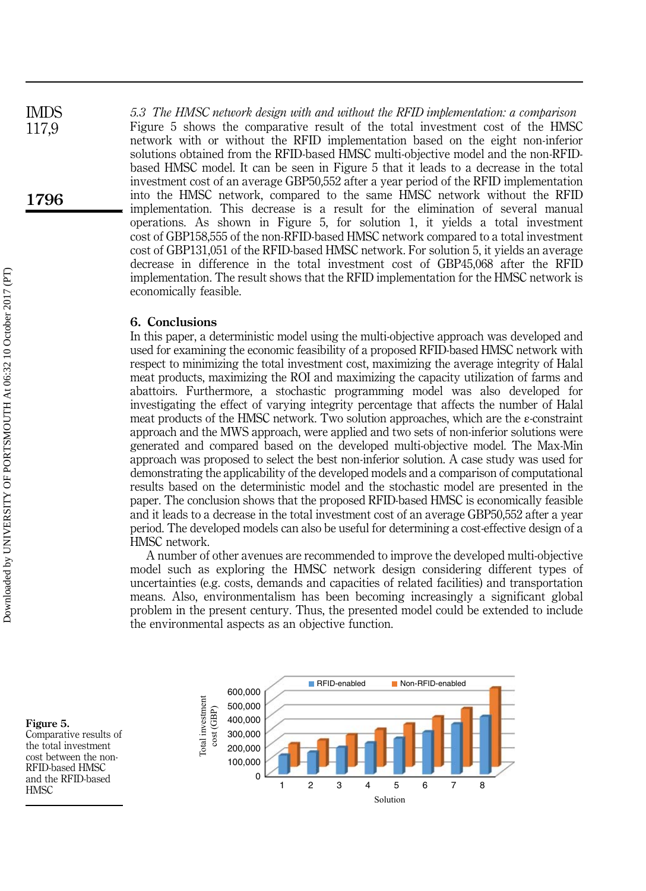5.3 The HMSC network design with and without the RFID implementation: a comparison Figure 5 shows the comparative result of the total investment cost of the HMSC network with or without the RFID implementation based on the eight non-inferior solutions obtained from the RFID-based HMSC multi-objective model and the non-RFIDbased HMSC model. It can be seen in Figure 5 that it leads to a decrease in the total investment cost of an average GBP50,552 after a year period of the RFID implementation into the HMSC network, compared to the same HMSC network without the RFID implementation. This decrease is a result for the elimination of several manual operations. As shown in Figure 5, for solution 1, it yields a total investment cost of GBP158,555 of the non-RFID-based HMSC network compared to a total investment cost of GBP131,051 of the RFID-based HMSC network. For solution 5, it yields an average decrease in difference in the total investment cost of GBP45,068 after the RFID implementation. The result shows that the RFID implementation for the HMSC network is economically feasible.

#### 6. Conclusions

In this paper, a deterministic model using the multi-objective approach was developed and used for examining the economic feasibility of a proposed RFID-based HMSC network with respect to minimizing the total investment cost, maximizing the average integrity of Halal meat products, maximizing the ROI and maximizing the capacity utilization of farms and abattoirs. Furthermore, a stochastic programming model was also developed for investigating the effect of varying integrity percentage that affects the number of Halal meat products of the HMSC network. Two solution approaches, which are the ε-constraint approach and the MWS approach, were applied and two sets of non-inferior solutions were generated and compared based on the developed multi-objective model. The Max-Min approach was proposed to select the best non-inferior solution. A case study was used for demonstrating the applicability of the developed models and a comparison of computational results based on the deterministic model and the stochastic model are presented in the paper. The conclusion shows that the proposed RFID-based HMSC is economically feasible and it leads to a decrease in the total investment cost of an average GBP50,552 after a year period. The developed models can also be useful for determining a cost-effective design of a HMSC network.

A number of other avenues are recommended to improve the developed multi-objective model such as exploring the HMSC network design considering different types of uncertainties (e.g. costs, demands and capacities of related facilities) and transportation means. Also, environmentalism has been becoming increasingly a significant global problem in the present century. Thus, the presented model could be extended to include the environmental aspects as an objective function.



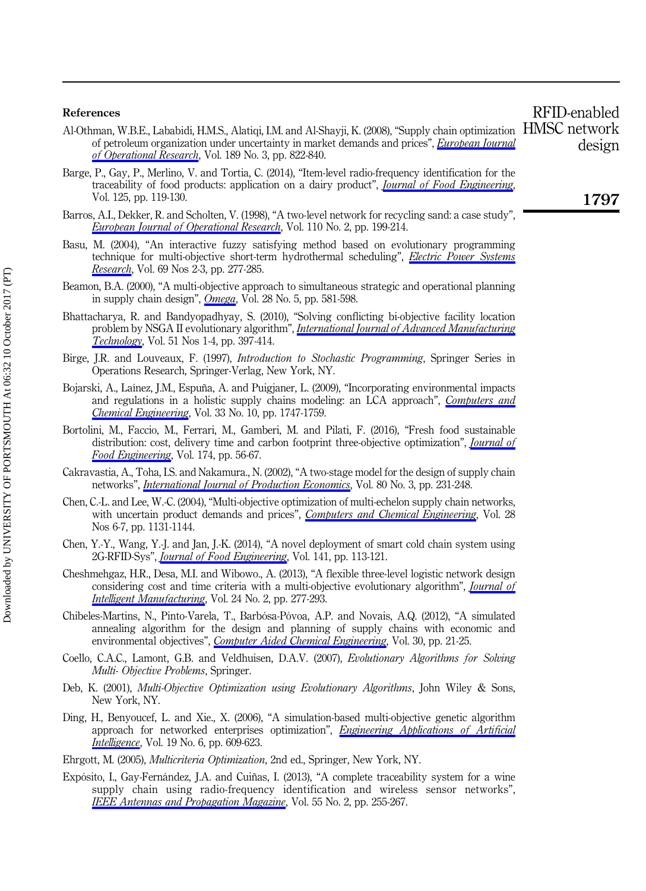#### References

- Al-Othman, W.B.E., Lababidi, H.M.S., Alatiqi, I.M. and Al-Shayji, K. (2008), "Supply chain optimization  $\rm\,HMSC$   $\rm\,network$ of petroleum organization under uncertainty in market demands and prices", *[European Journal](http://www.emeraldinsight.com/action/showLinks?doi=10.1108%2FIMDS-02-2016-0074&crossref=10.1016%2Fj.ejor.2006.06.081&isi=000255432900020&citationId=p_1)* [of Operational Research](http://www.emeraldinsight.com/action/showLinks?doi=10.1108%2FIMDS-02-2016-0074&crossref=10.1016%2Fj.ejor.2006.06.081&isi=000255432900020&citationId=p_1), Vol. 189 No. 3, pp. 822-840.
- Barge, P., Gay, P., Merlino, V. and Tortia, C. (2014), "Item-level radio-frequency identification for the traceability of food products: application on a dairy product", *[Journal of Food Engineering](http://www.emeraldinsight.com/action/showLinks?doi=10.1108%2FIMDS-02-2016-0074&crossref=10.1016%2Fj.jfoodeng.2013.10.019&isi=000328660300015&citationId=p_2)*, Vol. 125, pp. 119-130.
- Barros, A.I., Dekker, R. and Scholten, V. (1998), "A two-level network for recycling sand: a case study", [European Journal of Operational Research](http://www.emeraldinsight.com/action/showLinks?doi=10.1108%2FIMDS-02-2016-0074&crossref=10.1016%2FS0377-2217%2898%2900093-9&isi=000075575200003&citationId=p_3), Vol. 110 No. 2, pp. 199-214.
- Basu, M. (2004), "An interactive fuzzy satisfying method based on evolutionary programming technique for multi-objective short-term hydrothermal scheduling", *[Electric Power Systems](http://www.emeraldinsight.com/action/showLinks?doi=10.1108%2FIMDS-02-2016-0074&crossref=10.1016%2Fj.epsr.2003.10.003&isi=000189134900019&citationId=p_4)* [Research](http://www.emeraldinsight.com/action/showLinks?doi=10.1108%2FIMDS-02-2016-0074&crossref=10.1016%2Fj.epsr.2003.10.003&isi=000189134900019&citationId=p_4), Vol. 69 Nos 2-3, pp. 277-285.
- Beamon, B.A. (2000), "A multi-objective approach to simultaneous strategic and operational planning in supply chain design",  $Omega$ , Vol. 28 No. 5, pp. 581-598.
- Bhattacharya, R. and Bandyopadhyay, S. (2010), "Solving conflicting bi-objective facility location problem by NSGA II evolutionary algorithm", *[International Journal of Advanced Manufacturing](http://www.emeraldinsight.com/action/showLinks?doi=10.1108%2FIMDS-02-2016-0074&crossref=10.1007%2Fs00170-010-2622-6&isi=000283141100034&citationId=p_6)* [Technology](http://www.emeraldinsight.com/action/showLinks?doi=10.1108%2FIMDS-02-2016-0074&crossref=10.1007%2Fs00170-010-2622-6&isi=000283141100034&citationId=p_6), Vol. 51 Nos 1-4, pp. 397-414.
- Birge, J.R. and Louveaux, F. (1997), Introduction to Stochastic Programming, Springer Series in Operations Research, Springer-Verlag, New York, NY.
- Bojarski, A., Laínez, J.M., Espuña, A. and Puigjaner, L. (2009), "Incorporating environmental impacts and regulations in a holistic supply chains modeling: an LCA approach", [Computers and](http://www.emeraldinsight.com/action/showLinks?doi=10.1108%2FIMDS-02-2016-0074&crossref=10.1016%2Fj.compchemeng.2009.04.009&isi=000269991200020&citationId=p_8) [Chemical Engineering](http://www.emeraldinsight.com/action/showLinks?doi=10.1108%2FIMDS-02-2016-0074&crossref=10.1016%2Fj.compchemeng.2009.04.009&isi=000269991200020&citationId=p_8), Vol. 33 No. 10, pp. 1747-1759.
- Bortolini, M., Faccio, M., Ferrari, M., Gamberi, M. and Pilati, F. (2016), "Fresh food sustainable distribution: cost, delivery time and carbon footprint three-objective optimization", *[Journal of](http://www.emeraldinsight.com/action/showLinks?doi=10.1108%2FIMDS-02-2016-0074&crossref=10.1016%2Fj.jfoodeng.2015.11.014&isi=000368752200008&citationId=p_9)* [Food Engineering](http://www.emeraldinsight.com/action/showLinks?doi=10.1108%2FIMDS-02-2016-0074&crossref=10.1016%2Fj.jfoodeng.2015.11.014&isi=000368752200008&citationId=p_9), Vol. 174, pp. 56-67.
- Cakravastia, A., Toha, I.S. and Nakamura., N. (2002), "A two-stage model for the design of supply chain networks", *[International Journal of Production Economics](http://www.emeraldinsight.com/action/showLinks?doi=10.1108%2FIMDS-02-2016-0074&crossref=10.1016%2FS0925-5273%2802%2900260-8&isi=000179335700003&citationId=p_10)*, Vol. 80 No. 3, pp. 231-248.
- Chen, C.-L. and Lee, W.-C. (2004), "Multi-objective optimization of multi-echelon supply chain networks, with uncertain product demands and prices", [Computers and Chemical Engineering](http://www.emeraldinsight.com/action/showLinks?doi=10.1108%2FIMDS-02-2016-0074&crossref=10.1016%2Fj.compchemeng.2003.09.014&isi=000221418000021&citationId=p_11), Vol. 28 Nos 6-7, pp. 1131-1144.
- Chen, Y.-Y., Wang, Y.-J. and Jan, J.-K. (2014), "A novel deployment of smart cold chain system using 2G-RFID-Sys", *[Journal of Food Engineering](http://www.emeraldinsight.com/action/showLinks?doi=10.1108%2FIMDS-02-2016-0074&crossref=10.1016%2Fj.jfoodeng.2014.05.014&isi=000339533400015&citationId=p_12)*, Vol. 141, pp. 113-121.
- Cheshmehgaz, H.R., Desa, M.I. and Wibowo., A. (2013), "A flexible three-level logistic network design considering cost and time criteria with a multi-objective evolutionary algorithm", *[Journal of](http://www.emeraldinsight.com/action/showLinks?doi=10.1108%2FIMDS-02-2016-0074&crossref=10.1007%2Fs10845-011-0584-7&isi=000316689000006&citationId=p_13)* [Intelligent Manufacturing](http://www.emeraldinsight.com/action/showLinks?doi=10.1108%2FIMDS-02-2016-0074&crossref=10.1007%2Fs10845-011-0584-7&isi=000316689000006&citationId=p_13), Vol. 24 No. 2, pp. 277-293.
- Chibeles-Martins, N., Pinto-Varela, T., Barbósa-Póvoa, A.P. and Novais, A.Q. (2012), "A simulated annealing algorithm for the design and planning of supply chains with economic and environmental objectives", *[Computer Aided Chemical Engineering](http://www.emeraldinsight.com/action/showLinks?doi=10.1108%2FIMDS-02-2016-0074&crossref=10.1016%2FB978-0-444-59519-5.50005-8&citationId=p_14)*, Vol. 30, pp. 21-25.
- Coello, C.A.C., Lamont, G.B. and Veldhuisen, D.A.V. (2007), Evolutionary Algorithms for Solving Multi- Objective Problems, Springer.
- Deb, K. (2001), *Multi-Objective Optimization using Evolutionary Algorithms*, John Wiley & Sons, New York, NY.
- Ding, H., Benyoucef, L. and Xie., X. (2006), "A simulation-based multi-objective genetic algorithm approach for networked enterprises optimization", *[Engineering Applications of Artificial](http://www.emeraldinsight.com/action/showLinks?doi=10.1108%2FIMDS-02-2016-0074&crossref=10.1016%2Fj.engappai.2005.12.008&isi=000240857500004&citationId=p_17) [Intelligence](http://www.emeraldinsight.com/action/showLinks?doi=10.1108%2FIMDS-02-2016-0074&crossref=10.1016%2Fj.engappai.2005.12.008&isi=000240857500004&citationId=p_17)*, Vol. 19 No. 6, pp. 609-623.
- Ehrgott, M. (2005), Multicriteria Optimization, 2nd ed., Springer, New York, NY.
- Expósito, I., Gay-Fernández, J.A. and Cuiñas, I. (2013), "A complete traceability system for a wine supply chain using radio-frequency identification and wireless sensor networks", [IEEE Antennas and Propagation Magazine](http://www.emeraldinsight.com/action/showLinks?doi=10.1108%2FIMDS-02-2016-0074&crossref=10.1109%2FMAP.2013.6529365&isi=000324264100026&citationId=p_19), Vol. 55 No. 2, pp. 255-267.

design

RFID-enabled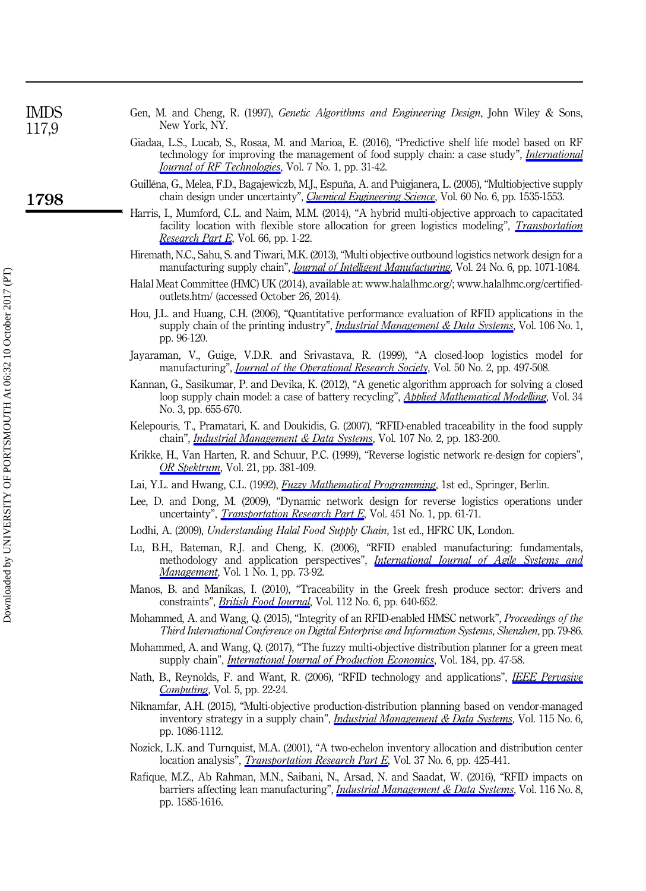| Gen, M. and Cheng, R. (1997), <i>Genetic Algorithms and Engineering Design</i> , John Wiley & Sons, |               |  |  |  |  |  |
|-----------------------------------------------------------------------------------------------------|---------------|--|--|--|--|--|
|                                                                                                     | New York, NY. |  |  |  |  |  |

- Giadaa, L.S., Lucab, S., Rosaa, M. and Marioa, E. (2016), "Predictive shelf life model based on RF technology for improving the management of food supply chain: a case study", *[International](http://www.emeraldinsight.com/action/showLinks?doi=10.1108%2FIMDS-02-2016-0074&crossref=10.3233%2FRFT-150073&isi=000372789900002&citationId=p_21)* [Journal of RF Technologies](http://www.emeraldinsight.com/action/showLinks?doi=10.1108%2FIMDS-02-2016-0074&crossref=10.3233%2FRFT-150073&isi=000372789900002&citationId=p_21), Vol. 7 No. 1, pp. 31-42.
- Guilléna, G., Melea, F.D., Bagajewiczb, M.J., Espuña, A. and Puigjanera, L. (2005), "Multiobjective supply chain design under uncertainty", *[Chemical Engineering Science](http://www.emeraldinsight.com/action/showLinks?doi=10.1108%2FIMDS-02-2016-0074&crossref=10.1016%2Fj.ces.2004.10.023&isi=000227293600005&citationId=p_22)*, Vol. 60 No. 6, pp. 1535-1553.
- Harris, I., Mumford, C.L. and Naim, M.M. (2014), "A hybrid multi-objective approach to capacitated facility location with flexible store allocation for green logistics modeling", *[Transportation](http://www.emeraldinsight.com/action/showLinks?doi=10.1108%2FIMDS-02-2016-0074&crossref=10.1016%2Fj.tre.2014.01.010&isi=000336822400001&citationId=p_23)* [Research Part E](http://www.emeraldinsight.com/action/showLinks?doi=10.1108%2FIMDS-02-2016-0074&crossref=10.1016%2Fj.tre.2014.01.010&isi=000336822400001&citationId=p_23), Vol. 66, pp. 1-22.
- Hiremath, N.C., Sahu, S. and Tiwari, M.K. (2013), "Multi objective outbound logistics network design for a manufacturing supply chain", *[Journal of Intelligent Manufacturing](http://www.emeraldinsight.com/action/showLinks?doi=10.1108%2FIMDS-02-2016-0074&crossref=10.1007%2Fs10845-012-0635-8&isi=000326297800001&citationId=p_24)*, Vol. 24 No. 6, pp. 1071-1084.
- Halal Meat Committee (HMC) UK (2014), available at: [www.halalhmc.org/;](www.halalhmc.org/) [www.halalhmc.org/certified](www.halalhmc.org/certified-outlets.htm/)[outlets.htm/](www.halalhmc.org/certified-outlets.htm/) (accessed October 26, 2014).
- Hou, J.L. and Huang, C.H. (2006), "Quantitative performance evaluation of RFID applications in the supply chain of the printing industry", *[Industrial Management & Data Systems](http://www.emeraldinsight.com/action/showLinks?doi=10.1108%2FIMDS-02-2016-0074&system=10.1108%2F02635570610641013&isi=000237547900006&citationId=p_26)*, Vol. 106 No. 1, pp. 96-120.
- Jayaraman, V., Guige, V.D.R. and Srivastava, R. (1999), "A closed-loop logistics model for manufacturing", *[Journal of the Operational Research Society](http://www.emeraldinsight.com/action/showLinks?doi=10.1108%2FIMDS-02-2016-0074&crossref=10.1057%2Fpalgrave.jors.2600716&citationId=p_27)*, Vol. 50 No. 2, pp. 497-508.
- Kannan, G., Sasikumar, P. and Devika, K. (2012), "A genetic algorithm approach for solving a closed loop supply chain model: a case of battery recycling", *[Applied Mathematical Modelling](http://www.emeraldinsight.com/action/showLinks?doi=10.1108%2FIMDS-02-2016-0074&crossref=10.1016%2Fj.apm.2009.06.021&isi=000272065400012&citationId=p_28)*, Vol. 34 No. 3, pp. 655-670.
- Kelepouris, T., Pramatari, K. and Doukidis, G. (2007), "RFID-enabled traceability in the food supply chain", *[Industrial Management & Data Systems](http://www.emeraldinsight.com/action/showLinks?doi=10.1108%2FIMDS-02-2016-0074&system=10.1108%2F02635570710723804&isi=000245771000012&citationId=p_29)*, Vol. 107 No. 2, pp. 183-200.
- Krikke, H., Van Harten, R. and Schuur, P.C. (1999), "Reverse logistic network re-design for copiers", [OR Spektrum](http://www.emeraldinsight.com/action/showLinks?doi=10.1108%2FIMDS-02-2016-0074&crossref=10.1007%2Fs002910050095&citationId=p_30), Vol. 21, pp. 381-409.
- Lai, Y.L. and Hwang, C.L. (1992), *[Fuzzy Mathematical Programming](http://www.emeraldinsight.com/action/showLinks?doi=10.1108%2FIMDS-02-2016-0074&crossref=10.1007%2F978-3-642-48753-8&citationId=p_31)*, 1st ed., Springer, Berlin.
- Lee, D. and Dong, M. (2009), "Dynamic network design for reverse logistics operations under uncertainty", *[Transportation Research Part E](http://www.emeraldinsight.com/action/showLinks?doi=10.1108%2FIMDS-02-2016-0074&crossref=10.1016%2Fj.tre.2008.08.002&citationId=p_32)*, Vol. 451 No. 1, pp. 61-71.
- Lodhi, A. (2009), Understanding Halal Food Supply Chain, 1st ed., HFRC UK, London.
- Lu, B.H., Bateman, R.J. and Cheng, K. (2006), "RFID enabled manufacturing: fundamentals, methodology and application perspectives", *[International Journal of Agile Systems and](http://www.emeraldinsight.com/action/showLinks?doi=10.1108%2FIMDS-02-2016-0074&crossref=10.1504%2FIJASM.2006.008860&citationId=p_34)* [Management](http://www.emeraldinsight.com/action/showLinks?doi=10.1108%2FIMDS-02-2016-0074&crossref=10.1504%2FIJASM.2006.008860&citationId=p_34), Vol. 1 No. 1, pp. 73-92.
- Manos, B. and Manikas, I. (2010), "Traceability in the Greek fresh produce sector: drivers and constraints", [British Food Journal](http://www.emeraldinsight.com/action/showLinks?doi=10.1108%2FIMDS-02-2016-0074&system=10.1108%2F00070701011052727&isi=000281181300007&citationId=p_35), Vol. 112 No. 6, pp. 640-652.
- Mohammed, A. and Wang, Q. (2015), "Integrity of an RFID-enabled HMSC network", Proceedings of the Third International Conference on Digital Enterprise and Information Systems, Shenzhen, pp. 79-86.
- Mohammed, A. and Wang, Q. (2017), "The fuzzy multi-objective distribution planner for a green meat supply chain", *[International Journal of Production Economics](http://www.emeraldinsight.com/action/showLinks?doi=10.1108%2FIMDS-02-2016-0074&crossref=10.1016%2Fj.ijpe.2016.11.016&isi=000392044300005&citationId=p_37)*, Vol. 184, pp. 47-58.
- Nath, B., Reynolds, F. and Want, R. (2006), "RFID technology and applications", *[IEEE Pervasive](http://www.emeraldinsight.com/action/showLinks?doi=10.1108%2FIMDS-02-2016-0074&crossref=10.1109%2FMPRV.2006.13&isi=000235483400005&citationId=p_38)* [Computing](http://www.emeraldinsight.com/action/showLinks?doi=10.1108%2FIMDS-02-2016-0074&crossref=10.1109%2FMPRV.2006.13&isi=000235483400005&citationId=p_38), Vol. 5, pp. 22-24.
- Niknamfar, A.H. (2015), "Multi-objective production-distribution planning based on vendor-managed inventory strategy in a supply chain", *[Industrial Management & Data Systems](http://www.emeraldinsight.com/action/showLinks?doi=10.1108%2FIMDS-02-2016-0074&system=10.1108%2FIMDS-03-2015-0073&isi=000359055200006&citationId=p_39)*, Vol. 115 No. 6, pp. 1086-1112.
- Nozick, L.K. and Turnquist, M.A. (2001), "A two-echelon inventory allocation and distribution center location analysis", *[Transportation Research Part E](http://www.emeraldinsight.com/action/showLinks?doi=10.1108%2FIMDS-02-2016-0074&crossref=10.1016%2FS1366-5545%2801%2900007-2&isi=000171899500003&citationId=p_40)*, Vol. 37 No. 6, pp. 425-441.
- Rafique, M.Z., Ab Rahman, M.N., Saibani, N., Arsad, N. and Saadat, W. (2016), "RFID impacts on barriers affecting lean manufacturing", *[Industrial Management & Data Systems](http://www.emeraldinsight.com/action/showLinks?doi=10.1108%2FIMDS-02-2016-0074&system=10.1108%2FIMDS-10-2015-0427&isi=000386139300008&citationId=p_41)*, Vol. 116 No. 8, pp. 1585-1616.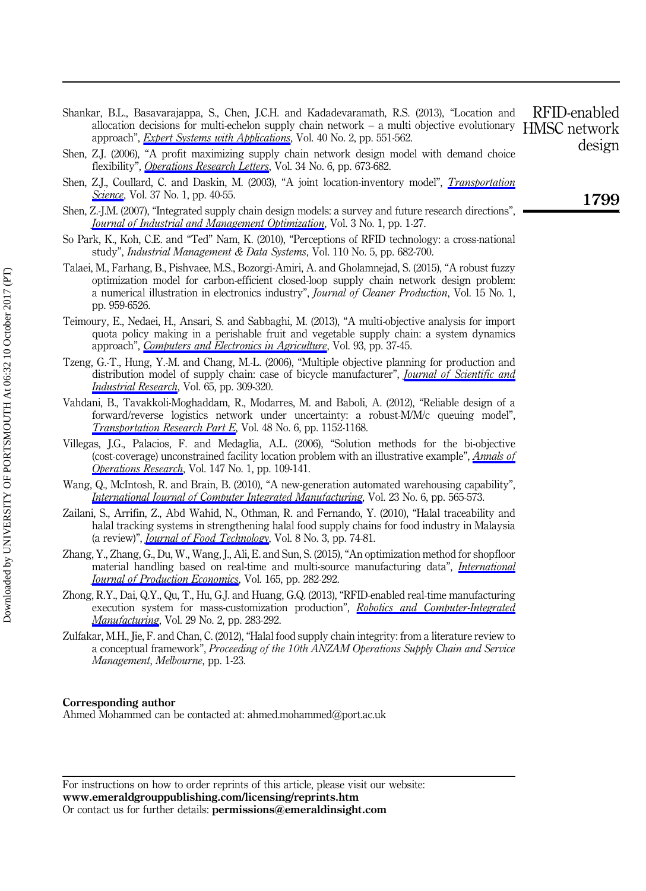- Shankar, B.L., Basavarajappa, S., Chen, J.C.H. and Kadadevaramath, R.S. (2013), "Location and allocation decisions for multi-echelon supply chain network  $-$  a multi-objective evolutionary approach", [Expert Systems with Applications](http://www.emeraldinsight.com/action/showLinks?doi=10.1108%2FIMDS-02-2016-0074&crossref=10.1016%2Fj.eswa.2012.07.065&isi=000310945000017&citationId=p_42), Vol. 40 No. 2, pp. 551-562. RFID-enabled HMSC network design
- Shen, Z.J. (2006), "A profit maximizing supply chain network design model with demand choice flexibility", [Operations Research Letters](http://www.emeraldinsight.com/action/showLinks?doi=10.1108%2FIMDS-02-2016-0074&crossref=10.1016%2Fj.orl.2005.10.006&isi=000240372900010&citationId=p_43), Vol. 34 No. 6, pp. 673-682.
- Shen, Z.J., Coullard, C. and Daskin, M. (2003), "A joint location-inventory model", *[Transportation](http://www.emeraldinsight.com/action/showLinks?doi=10.1108%2FIMDS-02-2016-0074&crossref=10.1287%2Ftrsc.37.1.40.12823&isi=000185773500003&citationId=p_44)* [Science](http://www.emeraldinsight.com/action/showLinks?doi=10.1108%2FIMDS-02-2016-0074&crossref=10.1287%2Ftrsc.37.1.40.12823&isi=000185773500003&citationId=p_44), Vol. 37 No. 1, pp. 40-55.
- Shen, Z.-J.M. (2007), "Integrated supply chain design models: a survey and future research directions", [Journal of Industrial and Management Optimization](http://www.emeraldinsight.com/action/showLinks?doi=10.1108%2FIMDS-02-2016-0074&crossref=10.3934%2Fjimo.2007.3.1&isi=000244604300002&citationId=p_45), Vol. 3 No. 1, pp. 1-27.
- So Park, K., Koh, C.E. and "Ted" Nam, K. (2010), "Perceptions of RFID technology: a cross-national study", Industrial Management & Data Systems, Vol. 110 No. 5, pp. 682-700.
- Talaei, M., Farhang, B., Pishvaee, M.S., Bozorgi-Amiri, A. and Gholamnejad, S. (2015), "A robust fuzzy optimization model for carbon-efficient closed-loop supply chain network design problem: a numerical illustration in electronics industry", *Journal of Cleaner Production*, Vol. 15 No. 1, pp. 959-6526.
- Teimoury, E., Nedaei, H., Ansari, S. and Sabbaghi, M. (2013), "A multi-objective analysis for import quota policy making in a perishable fruit and vegetable supply chain: a system dynamics approach", [Computers and Electronics in Agriculture](http://www.emeraldinsight.com/action/showLinks?doi=10.1108%2FIMDS-02-2016-0074&crossref=10.1016%2Fj.compag.2013.01.010&isi=000318322400005&citationId=p_48), Vol. 93, pp. 37-45.
- Tzeng, G.-T., Hung, Y.-M. and Chang, M.-L. (2006), "Multiple objective planning for production and distribution model of supply chain: case of bicycle manufacturer", *[Journal of Scientific and](http://www.emeraldinsight.com/action/showLinks?doi=10.1108%2FIMDS-02-2016-0074&isi=000236741900003&citationId=p_49)* [Industrial Research](http://www.emeraldinsight.com/action/showLinks?doi=10.1108%2FIMDS-02-2016-0074&isi=000236741900003&citationId=p_49), Vol. 65, pp. 309-320.
- Vahdani, B., Tavakkoli-Moghaddam, R., Modarres, M. and Baboli, A. (2012), "Reliable design of a forward/reverse logistics network under uncertainty: a robust-M/M/c queuing model", **[Transportation Research Part E](http://www.emeraldinsight.com/action/showLinks?doi=10.1108%2FIMDS-02-2016-0074&crossref=10.1016%2Fj.tre.2012.06.002&isi=000308058100007&citationId=p_50)**, Vol. 48 No. 6, pp. 1152-1168.
- Villegas, J.G., Palacios, F. and Medaglia, A.L. (2006), "Solution methods for the bi-objective (cost-coverage) unconstrained facility location problem with an illustrative example", [Annals of](http://www.emeraldinsight.com/action/showLinks?doi=10.1108%2FIMDS-02-2016-0074&crossref=10.1007%2Fs10479-006-0061-4&isi=000240895100007&citationId=p_51) [Operations Research](http://www.emeraldinsight.com/action/showLinks?doi=10.1108%2FIMDS-02-2016-0074&crossref=10.1007%2Fs10479-006-0061-4&isi=000240895100007&citationId=p_51), Vol. 147 No. 1, pp. 109-141.
- Wang, Q., McIntosh, R. and Brain, B. (2010), "A new-generation automated warehousing capability", [International Journal of Computer Integrated Manufacturing](http://www.emeraldinsight.com/action/showLinks?doi=10.1108%2FIMDS-02-2016-0074&crossref=10.1080%2F09511921003706215&isi=000278001900006&citationId=p_52), Vol. 23 No. 6, pp. 565-573.
- Zailani, S., Arrifin, Z., Abd Wahid, N., Othman, R. and Fernando, Y. (2010), "Halal traceability and halal tracking systems in strengthening halal food supply chains for food industry in Malaysia (a review)", *[Journal of Food Technology](http://www.emeraldinsight.com/action/showLinks?doi=10.1108%2FIMDS-02-2016-0074&crossref=10.3923%2Fjftech.2010.74.81&citationId=p_53)*, Vol. 8 No. 3, pp. 74-81.
- Zhang, Y., Zhang, G., Du, W., Wang, J., Ali, E. and Sun, S. (2015), "An optimization method for shopfloor material handling based on real-time and multi-source manufacturing data", *[International](http://www.emeraldinsight.com/action/showLinks?doi=10.1108%2FIMDS-02-2016-0074&crossref=10.1016%2Fj.ijpe.2014.12.029&isi=000356110400027&citationId=p_54)* **[Journal of Production Economics](http://www.emeraldinsight.com/action/showLinks?doi=10.1108%2FIMDS-02-2016-0074&crossref=10.1016%2Fj.ijpe.2014.12.029&isi=000356110400027&citationId=p_54)**, Vol. 165, pp. 282-292.
- Zhong, R.Y., Dai, Q.Y., Qu, T., Hu, G.J. and Huang, G.Q. (2013), "RFID-enabled real-time manufacturing execution system for mass-customization production", [Robotics and Computer-Integrated](http://www.emeraldinsight.com/action/showLinks?doi=10.1108%2FIMDS-02-2016-0074&crossref=10.1016%2Fj.rcim.2012.08.001&isi=000312172900002&citationId=p_55) [Manufacturing](http://www.emeraldinsight.com/action/showLinks?doi=10.1108%2FIMDS-02-2016-0074&crossref=10.1016%2Fj.rcim.2012.08.001&isi=000312172900002&citationId=p_55), Vol. 29 No. 2, pp. 283-292.
- Zulfakar, M.H., Jie, F. and Chan, C. (2012), "Halal food supply chain integrity: from a literature review to a conceptual framework", Proceeding of the 10th ANZAM Operations Supply Chain and Service Management, Melbourne, pp. 1-23.

#### Corresponding author

Ahmed Mohammed can be contacted at: ahmed.mohammed@port.ac.uk

For instructions on how to order reprints of this article, please visit our website: www.emeraldgrouppublishing.com/licensing/reprints.htm Or contact us for further details: permissions@emeraldinsight.com